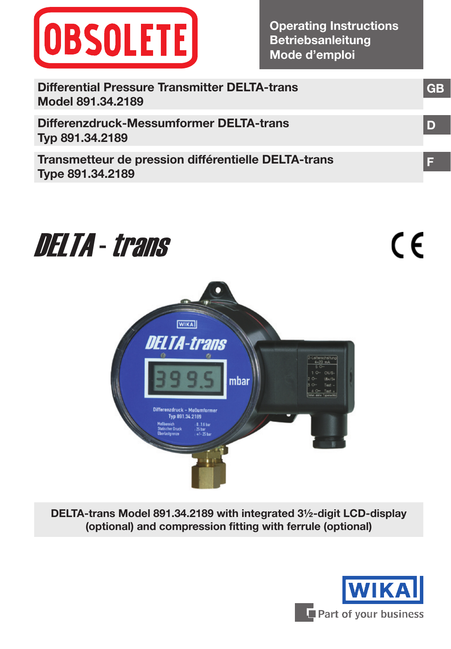

**Operating Instructions Betriebsanleitung Mode d'emploi**

 $\epsilon$ 

| <b>Differential Pressure Transmitter DELTA-trans</b><br>Model 891.34.2189 | GB |
|---------------------------------------------------------------------------|----|
| Differenzdruck-Messumformer DELTA-trans<br>Typ 891.34.2189                |    |
| Transmetteur de pression différentielle DELTA-trans<br>Type 891.34.2189   |    |





**DELTA-trans Model 891.34.2189 with integrated 3½-digit LCD-display (optional) and compression fitting with ferrule (optional)**

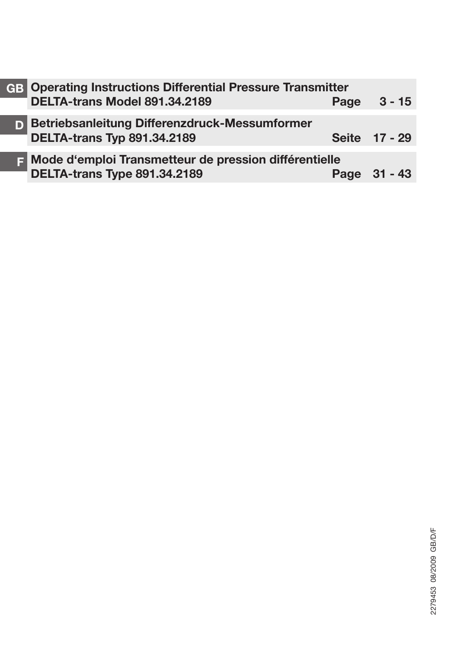|    | GB Operating Instructions Differential Pressure Transmitter<br>DELTA-trans Model 891.34.2189 | Page 3 - 15   |
|----|----------------------------------------------------------------------------------------------|---------------|
| D. | Betriebsanleitung Differenzdruck-Messumformer<br><b>DELTA-trans Typ 891.34.2189</b>          | Seite 17 - 29 |
|    | Mode d'emploi Transmetteur de pression différentielle<br>DELTA-trans Type 891.34.2189        | Page 31 - 43  |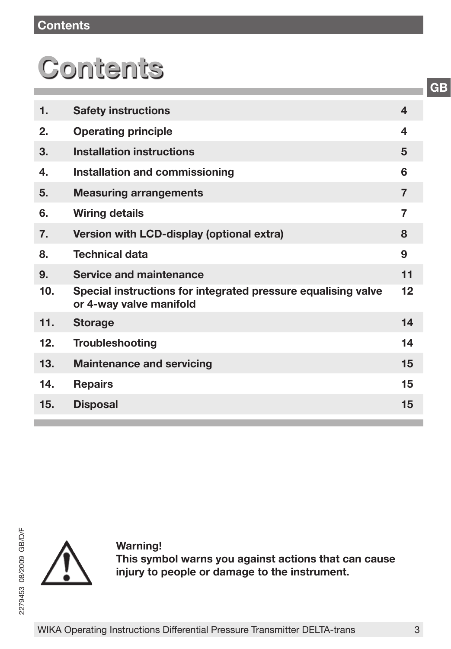# **Contents**

| 1.  | <b>Safety instructions</b>                                                               | 4              |
|-----|------------------------------------------------------------------------------------------|----------------|
| 2.  | <b>Operating principle</b>                                                               | 4              |
| 3.  | <b>Installation instructions</b>                                                         | 5              |
| 4.  | Installation and commissioning                                                           | 6              |
| 5.  | <b>Measuring arrangements</b>                                                            | $\overline{7}$ |
| 6.  | <b>Wiring details</b>                                                                    | $\overline{7}$ |
| 7.  | Version with LCD-display (optional extra)                                                | 8              |
| 8.  | <b>Technical data</b>                                                                    | 9              |
| 9.  | Service and maintenance                                                                  | 11             |
| 10. | Special instructions for integrated pressure equalising valve<br>or 4-way valve manifold | 12             |
| 11. | <b>Storage</b>                                                                           | 14             |
| 12. | Troubleshooting                                                                          | 14             |
| 13. | <b>Maintenance and servicing</b>                                                         | 15             |
| 14. | <b>Repairs</b>                                                                           | 15             |
| 15. | <b>Disposal</b>                                                                          | 15             |
|     |                                                                                          |                |



**Warning! This symbol warns you against actions that can cause injury to people or damage to the instrument.**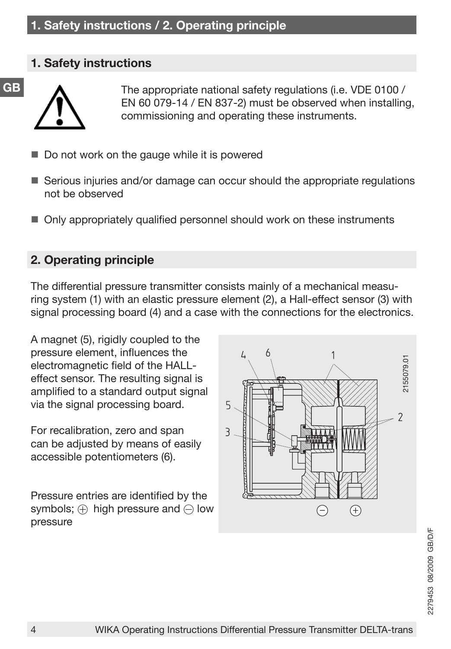# **1. Safety instructions**



The appropriate national safety regulations (i.e. VDE 0100 / EN 60 079-14 / EN 837-2) must be observed when installing, commissioning and operating these instruments.

- Do not work on the gauge while it is powered
- Serious injuries and/or damage can occur should the appropriate regulations not be observed
- Only appropriately qualified personnel should work on these instruments

# **2. Operating principle**

The differential pressure transmitter consists mainly of a mechanical measuring system (1) with an elastic pressure element (2), a Hall-effect sensor (3) with signal processing board (4) and a case with the connections for the electronics.

A magnet (5), rigidly coupled to the pressure element, influences the electromagnetic field of the HALLeffect sensor. The resulting signal is amplified to a standard output signal via the signal processing board.

For recalibration, zero and span can be adjusted by means of easily accessible potentiometers (6).

Pressure entries are identified by the symbols;  $\oplus$  high pressure and  $\ominus$  low pressure

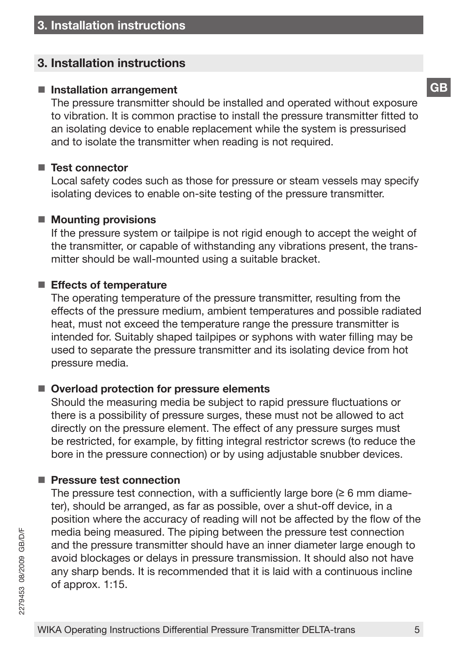# **3. Installation instructions**

#### **Installation arrangement**

The pressure transmitter should be installed and operated without exposure to vibration. It is common practise to install the pressure transmitter fitted to an isolating device to enable replacement while the system is pressurised and to isolate the transmitter when reading is not required.

#### **Test connector**

Local safety codes such as those for pressure or steam vessels may specify isolating devices to enable on-site testing of the pressure transmitter.

#### ■ Mounting provisions

If the pressure system or tailpipe is not rigid enough to accept the weight of the transmitter, or capable of withstanding any vibrations present, the transmitter should be wall-mounted using a suitable bracket.

#### **Effects of temperature**

The operating temperature of the pressure transmitter, resulting from the effects of the pressure medium, ambient temperatures and possible radiated heat, must not exceed the temperature range the pressure transmitter is intended for. Suitably shaped tailpipes or syphons with water filling may be used to separate the pressure transmitter and its isolating device from hot pressure media.

#### ■ Overload protection for pressure elements

Should the measuring media be subject to rapid pressure fluctuations or there is a possibility of pressure surges, these must not be allowed to act directly on the pressure element. The effect of any pressure surges must be restricted, for example, by fitting integral restrictor screws (to reduce the bore in the pressure connection) or by using adjustable snubber devices.

#### **Pressure test connection**

The pressure test connection, with a sufficiently large bore  $(\geq 6 \text{ mm diameter})$ ter), should be arranged, as far as possible, over a shut-off device, in a position where the accuracy of reading will not be affected by the flow of the media being measured. The piping between the pressure test connection and the pressure transmitter should have an inner diameter large enough to avoid blockages or delays in pressure transmission. It should also not have any sharp bends. It is recommended that it is laid with a continuous incline of approx. 1:15.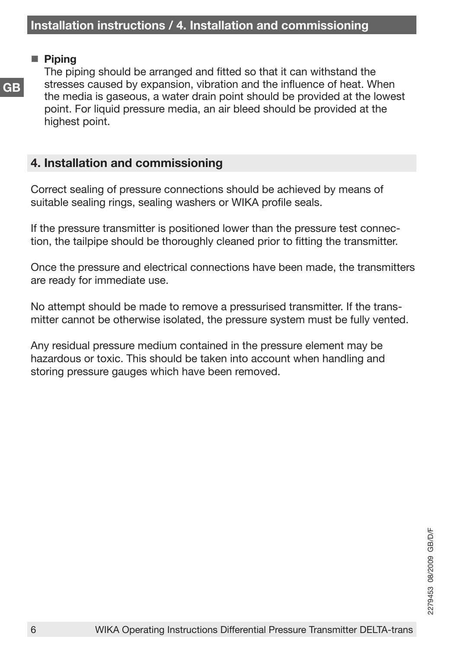#### **Piping**

The piping should be arranged and fitted so that it can withstand the stresses caused by expansion, vibration and the influence of heat. When the media is gaseous, a water drain point should be provided at the lowest point. For liquid pressure media, an air bleed should be provided at the highest point.

# **4. Installation and commissioning**

Correct sealing of pressure connections should be achieved by means of suitable sealing rings, sealing washers or WIKA profile seals.

If the pressure transmitter is positioned lower than the pressure test connection, the tailpipe should be thoroughly cleaned prior to fitting the transmitter.

Once the pressure and electrical connections have been made, the transmitters are ready for immediate use.

No attempt should be made to remove a pressurised transmitter. If the transmitter cannot be otherwise isolated, the pressure system must be fully vented.

Any residual pressure medium contained in the pressure element may be hazardous or toxic. This should be taken into account when handling and storing pressure gauges which have been removed.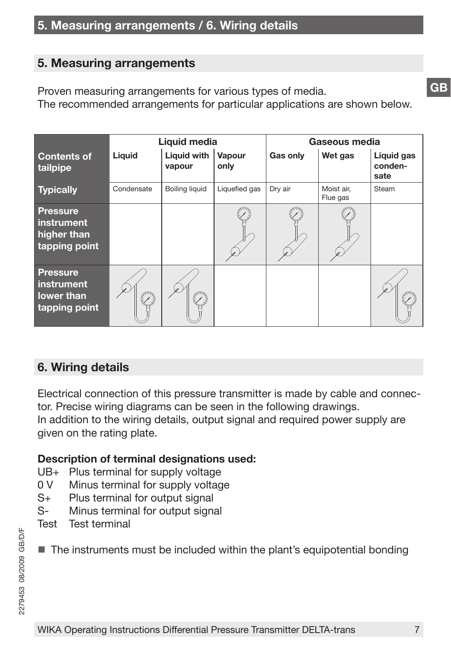# **5. Measuring arrangements**

Proven measuring arrangements for various types of media. The recommended arrangements for particular applications are shown below.

|                                                               |            | Liquid media                 | Gaseous media  |          |                        |                               |
|---------------------------------------------------------------|------------|------------------------------|----------------|----------|------------------------|-------------------------------|
| <b>Contents of</b><br>tailpipe                                | Liquid     | <b>Liquid with</b><br>vapour | Vapour<br>only | Gas only | Wet gas                | Liquid gas<br>conden-<br>sate |
| Typically                                                     | Condensate | <b>Boiling liquid</b>        | Liquefied gas  | Dry air  | Moist air.<br>Flue gas | Steam                         |
| <b>Pressure</b><br>instrument<br>higher than<br>tapping point |            |                              |                |          |                        |                               |
| <b>Pressure</b><br>instrument<br>lower than<br>tapping point  |            |                              |                |          |                        |                               |

# **6. Wiring details**

Electrical connection of this pressure transmitter is made by cable and connector. Precise wiring diagrams can be seen in the following drawings. In addition to the wiring details, output signal and required power supply are given on the rating plate.

#### **Description of terminal designations used:**

- UB+ Plus terminal for supply voltage
- 0 V Minus terminal for supply voltage
- S+ Plus terminal for output signal
- S- Minus terminal for output signal
- Test Test terminal

 $\blacksquare$  The instruments must be included within the plant's equipotential bonding

**GB**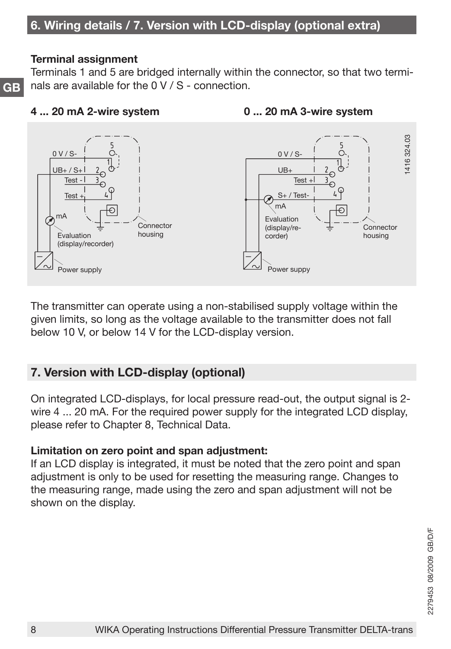#### **Terminal assignment**

**GB**

Terminals 1 and 5 are bridged internally within the connector, so that two terminals are available for the 0 V / S - connection.





The transmitter can operate using a non-stabilised supply voltage within the given limits, so long as the voltage available to the transmitter does not fall below 10 V, or below 14 V for the LCD-display version.

# **7. Version with LCD-display (optional)**

On integrated LCD-displays, for local pressure read-out, the output signal is 2 wire 4 ... 20 mA. For the required power supply for the integrated LCD display, please refer to Chapter 8, Technical Data.

#### **Limitation on zero point and span adjustment:**

If an LCD display is integrated, it must be noted that the zero point and span adjustment is only to be used for resetting the measuring range. Changes to the measuring range, made using the zero and span adjustment will not be shown on the display.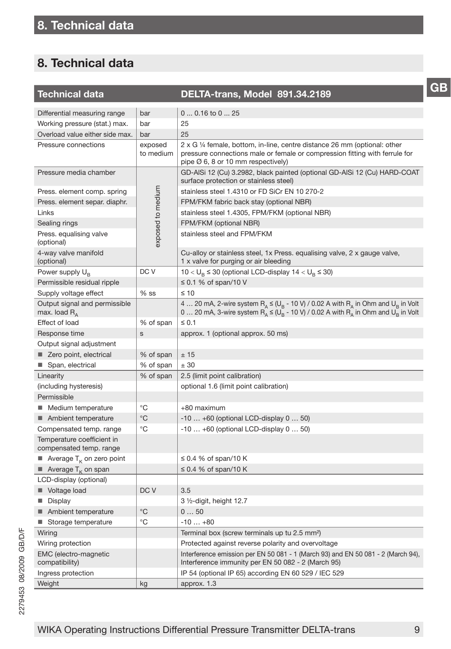# **8. Technical data**

| <b>Technical data</b>                                     |                      | DELTA-trans, Model 891.34.2189                                                                                                                                                                                                                                               |
|-----------------------------------------------------------|----------------------|------------------------------------------------------------------------------------------------------------------------------------------------------------------------------------------------------------------------------------------------------------------------------|
| Differential measuring range                              | bar                  | $00.16$ to $025$                                                                                                                                                                                                                                                             |
| Working pressure (stat.) max.                             | bar                  | 25                                                                                                                                                                                                                                                                           |
| Overload value either side max.                           | bar                  | 25                                                                                                                                                                                                                                                                           |
| Pressure connections                                      | exposed<br>to medium | 2 x G 1/4 female, bottom, in-line, centre distance 26 mm (optional: other<br>pressure connections male or female or compression fitting with ferrule for<br>pipe $\varnothing$ 6, 8 or 10 mm respectively)                                                                   |
| Pressure media chamber                                    |                      | GD-AISi 12 (Cu) 3.2982, black painted (optional GD-AISi 12 (Cu) HARD-COAT<br>surface protection or stainless steel)                                                                                                                                                          |
| Press. element comp. spring                               |                      | stainless steel 1.4310 or FD SiCr EN 10 270-2                                                                                                                                                                                                                                |
| Press. element separ. diaphr.                             |                      | FPM/FKM fabric back stay (optional NBR)                                                                                                                                                                                                                                      |
| Links                                                     |                      | stainless steel 1.4305, FPM/FKM (optional NBR)                                                                                                                                                                                                                               |
| Sealing rings                                             |                      | FPM/FKM (optional NBR)                                                                                                                                                                                                                                                       |
| Press. equalising valve<br>(optional)                     | exposed to medium    | stainless steel and FPM/FKM                                                                                                                                                                                                                                                  |
| 4-way valve manifold<br>(optional)                        |                      | Cu-alloy or stainless steel, 1x Press, equalising valve, 2 x gauge valve,<br>1 x valve for purging or air bleeding                                                                                                                                                           |
| Power supply $U_B$                                        | DC V                 | 10 < $U_B \le 30$ (optional LCD-display 14 < $U_B \le 30$ )                                                                                                                                                                                                                  |
| Permissible residual ripple                               |                      | $\leq$ 0.1 % of span/10 V                                                                                                                                                                                                                                                    |
| Supply voltage effect                                     | $%$ ss               | $\leq 10$                                                                                                                                                                                                                                                                    |
| Output signal and permissible<br>max. load $R_{\text{A}}$ |                      | 4  20 mA, 2-wire system R <sub>A</sub> $\leq$ (U <sub>B</sub> - 10 V) / 0.02 A with R <sub>A</sub> in Ohm and U <sub>B</sub> in Volt<br>0  20 mA, 3-wire system R <sub>A</sub> $\leq$ (U <sub>B</sub> - 10 V) / 0.02 A with R <sub>A</sub> in Ohm and U <sub>B</sub> in Volt |
| Effect of load                                            | % of span            | $\leq 0.1$                                                                                                                                                                                                                                                                   |
| Response time                                             | $\mathbb S$          | approx. 1 (optional approx. 50 ms)                                                                                                                                                                                                                                           |
| Output signal adjustment                                  |                      |                                                                                                                                                                                                                                                                              |
| ■ Zero point, electrical                                  | % of span            | ±15                                                                                                                                                                                                                                                                          |
| Span, electrical                                          | % of span            | ± 30                                                                                                                                                                                                                                                                         |
| Linearity                                                 | % of span            | 2.5 (limit point calibration)                                                                                                                                                                                                                                                |
| (including hysteresis)                                    |                      | optional 1.6 (limit point calibration)                                                                                                                                                                                                                                       |
| Permissible                                               |                      |                                                                                                                                                                                                                                                                              |
| ■ Medium temperature                                      | °C                   | +80 maximum                                                                                                                                                                                                                                                                  |
| Ambient temperature                                       | $^{\circ}C$          | $-10+60$ (optional LCD-display $050$ )                                                                                                                                                                                                                                       |
| Compensated temp. range                                   | °C                   | $-10+60$ (optional LCD-display $050$ )                                                                                                                                                                                                                                       |
| Temperature coefficient in<br>compensated temp. range     |                      |                                                                                                                                                                                                                                                                              |
| Average $T_k$ on zero point                               |                      | $\leq$ 0.4 % of span/10 K                                                                                                                                                                                                                                                    |
| Average T <sub><math>\kappa</math></sub> on span          |                      | $\leq$ 0.4 % of span/10 K                                                                                                                                                                                                                                                    |
| LCD-display (optional)                                    |                      |                                                                                                                                                                                                                                                                              |
| Voltage load                                              | DC V                 | 3.5                                                                                                                                                                                                                                                                          |
| Display                                                   |                      | 3 1/2-digit, height 12.7                                                                                                                                                                                                                                                     |
| ■ Ambient temperature                                     | $^{\circ}$ C         | 050                                                                                                                                                                                                                                                                          |
| ■ Storage temperature                                     | °C                   | $-10+80$                                                                                                                                                                                                                                                                     |
| Wiring                                                    |                      | Terminal box (screw terminals up tu 2.5 mm <sup>2</sup> )                                                                                                                                                                                                                    |
| Wiring protection                                         |                      | Protected against reverse polarity and overvoltage                                                                                                                                                                                                                           |
| EMC (electro-magnetic<br>compatibility)                   |                      | Interference emission per EN 50 081 - 1 (March 93) and EN 50 081 - 2 (March 94),<br>Interference immunity per EN 50 082 - 2 (March 95)                                                                                                                                       |
| Ingress protection                                        |                      | IP 54 (optional IP 65) according EN 60 529 / IEC 529                                                                                                                                                                                                                         |
| Weight                                                    | kg                   | approx. 1.3                                                                                                                                                                                                                                                                  |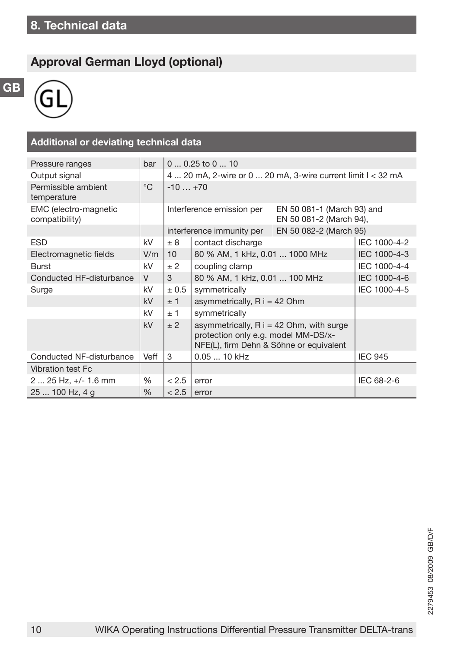# **Approval German Lloyd (optional)**

**GB**

# GI

| Additional or deviating technical data  |               |         |                                                                                                                              |                                                       |                |  |
|-----------------------------------------|---------------|---------|------------------------------------------------------------------------------------------------------------------------------|-------------------------------------------------------|----------------|--|
| Pressure ranges                         | bar           |         | $0 \dots 0.25$ to $0 \dots 10$                                                                                               |                                                       |                |  |
| Output signal                           |               |         | 4  20 mA, 2-wire or 0  20 mA, 3-wire current limit I < 32 mA                                                                 |                                                       |                |  |
| Permissible ambient<br>temperature      | $^{\circ}$ C  |         | $-10+70$                                                                                                                     |                                                       |                |  |
| EMC (electro-magnetic<br>compatibility) |               |         | Interference emission per                                                                                                    | EN 50 081-1 (March 93) and<br>EN 50 081-2 (March 94), |                |  |
|                                         |               |         | interference immunity per                                                                                                    | EN 50 082-2 (March 95)                                |                |  |
| <b>ESD</b>                              | kV            | $\pm 8$ | contact discharge                                                                                                            | IEC 1000-4-2                                          |                |  |
| Electromagnetic fields                  | V/m           | 10      | 80 % AM, 1 kHz, 0.01  1000 MHz                                                                                               |                                                       | IEC 1000-4-3   |  |
| <b>Burst</b>                            | kV            | $+2$    | coupling clamp                                                                                                               |                                                       | IEC 1000-4-4   |  |
| Conducted HF-disturbance                | $\vee$        | 3       | 80 % AM, 1 kHz, 0.01  100 MHz                                                                                                |                                                       | IEC 1000-4-6   |  |
| Surge                                   | kV            | ± 0.5   | symmetrically                                                                                                                |                                                       | IEC 1000-4-5   |  |
|                                         | kV            | ±1      | asymmetrically, $R i = 42$ Ohm                                                                                               |                                                       |                |  |
|                                         | kV            | $+1$    | symmetrically                                                                                                                |                                                       |                |  |
|                                         | kV            | $+2$    | asymmetrically, $R$ i = 42 Ohm, with surge<br>protection only e.g. model MM-DS/x-<br>NFE(L), firm Dehn & Söhne or equivalent |                                                       |                |  |
| Conducted NF-disturbance                | Veff          | 3       | 0.05  10 kHz                                                                                                                 |                                                       | <b>IEC 945</b> |  |
| Vibration test Fc                       |               |         |                                                                                                                              |                                                       |                |  |
| $225$ Hz, $+/$ - 1.6 mm                 | %             | < 2.5   | error                                                                                                                        |                                                       | IEC 68-2-6     |  |
| 25  100 Hz, 4 g                         | $\frac{0}{0}$ | < 2.5   | error                                                                                                                        |                                                       |                |  |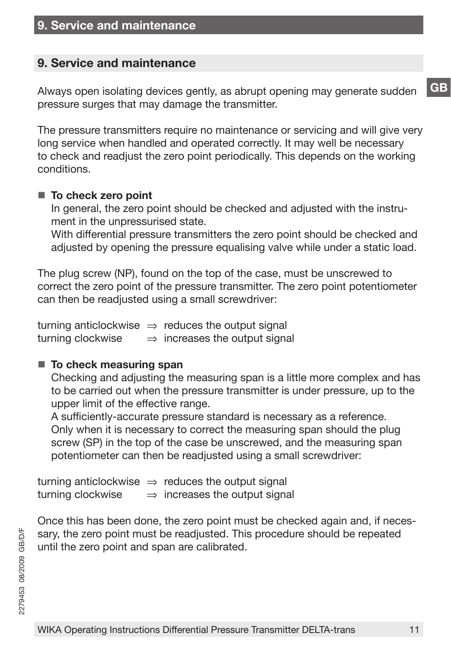#### **9. Service and maintenance**

**GB** Always open isolating devices gently, as abrupt opening may generate sudden pressure surges that may damage the transmitter.

The pressure transmitters require no maintenance or servicing and will give very long service when handled and operated correctly. It may well be necessary to check and readjust the zero point periodically. This depends on the working conditions.

#### ■ To check zero point

In general, the zero point should be checked and adjusted with the instrument in the unpressurised state.

With differential pressure transmitters the zero point should be checked and adjusted by opening the pressure equalising valve while under a static load.

The plug screw (NP), found on the top of the case, must be unscrewed to correct the zero point of the pressure transmitter. The zero point potentiometer can then be readjusted using a small screwdriver:

turning anticlockwise  $\Rightarrow$  reduces the output signal turning clockwise  $\Rightarrow$  increases the output signal

#### ■ To check measuring span

Checking and adjusting the measuring span is a little more complex and has to be carried out when the pressure transmitter is under pressure, up to the upper limit of the effective range.

A sufficiently-accurate pressure standard is necessary as a reference. Only when it is necessary to correct the measuring span should the plug screw (SP) in the top of the case be unscrewed, and the measuring span potentiometer can then be readjusted using a small screwdriver:

```
turning anticlockwise \Rightarrow reduces the output signal
turning clockwise \Rightarrow increases the output signal
```
Once this has been done, the zero point must be checked again and, if necessary, the zero point must be readjusted. This procedure should be repeated until the zero point and span are calibrated.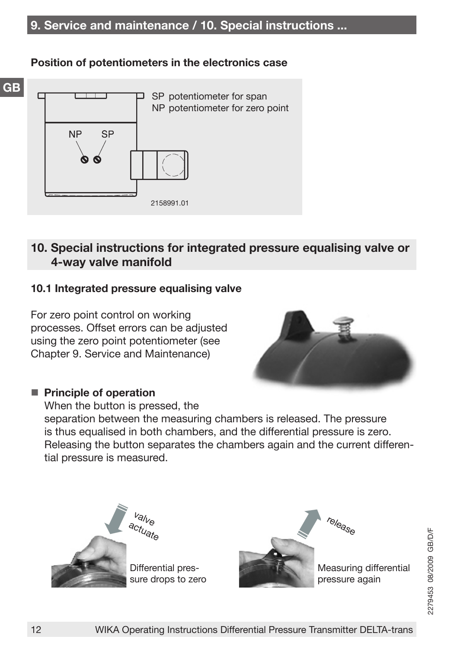#### **Position of potentiometers in the electronics case**



# **10. Special instructions for integrated pressure equalising valve or 4-way valve manifold**

#### **10.1 Integrated pressure equalising valve**

For zero point control on working processes. Offset errors can be adjusted using the zero point potentiometer (see Chapter 9. Service and Maintenance)



#### **Principle of operation**

When the button is pressed, the separation between the measuring chambers is released. The pressure is thus equalised in both chambers, and the differential pressure is zero. Releasing the button separates the chambers again and the current differential pressure is measured.



Differential pressure drops to zero



Measuring differential pressure again

release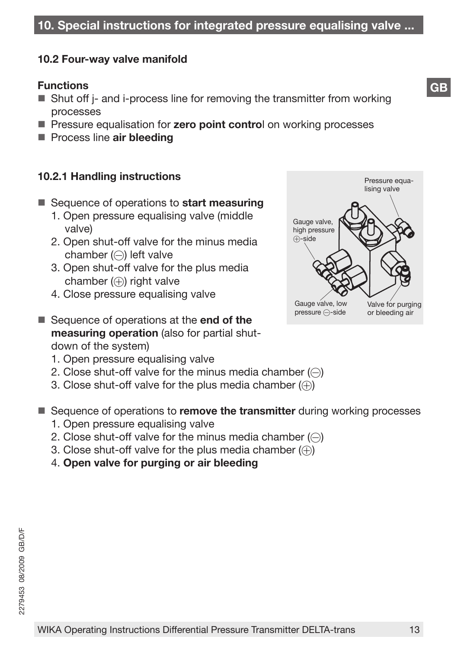#### **10.2 Four-way valve manifold**

#### **Functions**

- Shut off j- and i-process line for removing the transmitter from working processes
- **Peressure equalisation for zero point control on working processes**
- **Process line air bleeding**

#### **10.2.1 Handling instructions**

- Sequence of operations to **start measuring** 
	- 1. Open pressure equalising valve (middle valve)
	- 2. Open shut-off valve for the minus media chamber  $(\ominus)$  left valve
	- 3. Open shut-off valve for the plus media chamber  $(f)$  right valve
	- 4. Close pressure equalising valve
- Sequence of operations at the **end of the measuring operation** (also for partial shutdown of the system)
	- 1. Open pressure equalising valve
	- 2. Close shut-off valve for the minus media chamber  $(\ominus)$
	- 3. Close shut-off valve for the plus media chamber  $(\oplus)$

#### ■ Sequence of operations to **remove the transmitter** during working processes

- 1. Open pressure equalising valve
- 2. Close shut-off valve for the minus media chamber  $(\ominus)$
- 3. Close shut-off valve for the plus media chamber  $(\oplus)$
- 4. **Open valve for purging or air bleeding**

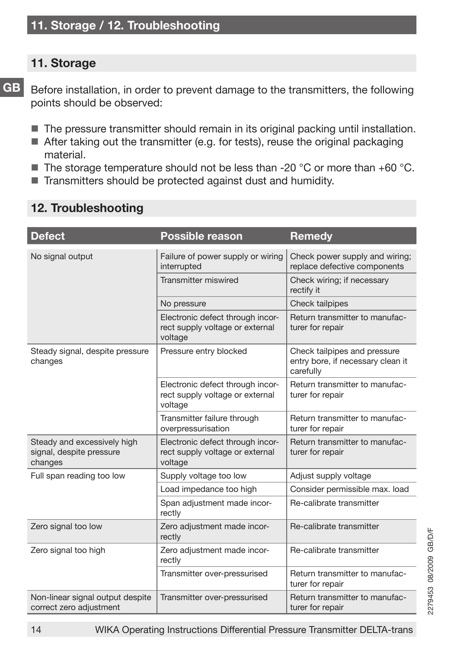# **11. Storage**

**GB**

- Before installation, in order to prevent damage to the transmitters, the following points should be observed:
	- The pressure transmitter should remain in its original packing until installation.
	- After taking out the transmitter (e.g. for tests), reuse the original packaging material.
	- $\blacksquare$  The storage temperature should not be less than -20 °C or more than +60 °C.
	- Transmitters should be protected against dust and humidity.

# **12. Troubleshooting**

| <b>Defect</b>                                                      | <b>Possible reason</b>                                                         | <b>Remedy</b>                                                                  |
|--------------------------------------------------------------------|--------------------------------------------------------------------------------|--------------------------------------------------------------------------------|
| No signal output                                                   | Failure of power supply or wiring<br>interrupted                               | Check power supply and wiring;<br>replace defective components                 |
|                                                                    | Transmitter miswired                                                           | Check wiring; if necessary<br>rectify it                                       |
|                                                                    | No pressure                                                                    | Check tailpipes                                                                |
|                                                                    | Electronic defect through incor-<br>rect supply voltage or external<br>voltage | Return transmitter to manufac-<br>turer for repair                             |
| Steady signal, despite pressure<br>changes                         | Pressure entry blocked                                                         | Check tailpipes and pressure<br>entry bore, if necessary clean it<br>carefully |
|                                                                    | Electronic defect through incor-<br>rect supply voltage or external<br>voltage | Return transmitter to manufac-<br>turer for repair                             |
|                                                                    | Transmitter failure through<br>overpressurisation                              | Return transmitter to manufac-<br>turer for repair                             |
| Steady and excessively high<br>signal, despite pressure<br>changes | Electronic defect through incor-<br>rect supply voltage or external<br>voltage | Return transmitter to manufac-<br>turer for repair                             |
| Full span reading too low                                          | Supply voltage too low                                                         | Adjust supply voltage                                                          |
|                                                                    | Load impedance too high                                                        | Consider permissible max. load                                                 |
|                                                                    | Span adjustment made incor-<br>rectly                                          | Re-calibrate transmitter                                                       |
| Zero signal too low                                                | Zero adjustment made incor-<br>rectly                                          | Re-calibrate transmitter                                                       |
| Zero signal too high                                               | Zero adjustment made incor-<br>rectly                                          | Re-calibrate transmitter                                                       |
|                                                                    | Transmitter over-pressurised                                                   | Return transmitter to manufac-<br>turer for repair                             |
| Non-linear signal output despite<br>correct zero adjustment        | Transmitter over-pressurised                                                   | Return transmitter to manufac-<br>turer for repair                             |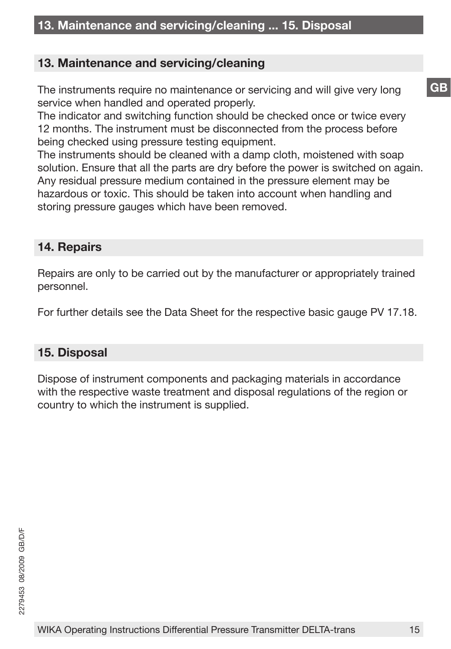# **13. Maintenance and servicing/cleaning**

The instruments require no maintenance or servicing and will give very long service when handled and operated properly.

The indicator and switching function should be checked once or twice every 12 months. The instrument must be disconnected from the process before being checked using pressure testing equipment.

The instruments should be cleaned with a damp cloth, moistened with soap solution. Ensure that all the parts are dry before the power is switched on again. Any residual pressure medium contained in the pressure element may be hazardous or toxic. This should be taken into account when handling and storing pressure gauges which have been removed.

# **14. Repairs**

Repairs are only to be carried out by the manufacturer or appropriately trained personnel.

For further details see the Data Sheet for the respective basic gauge PV 17.18.

# **15. Disposal**

Dispose of instrument components and packaging materials in accordance with the respective waste treatment and disposal regulations of the region or country to which the instrument is supplied.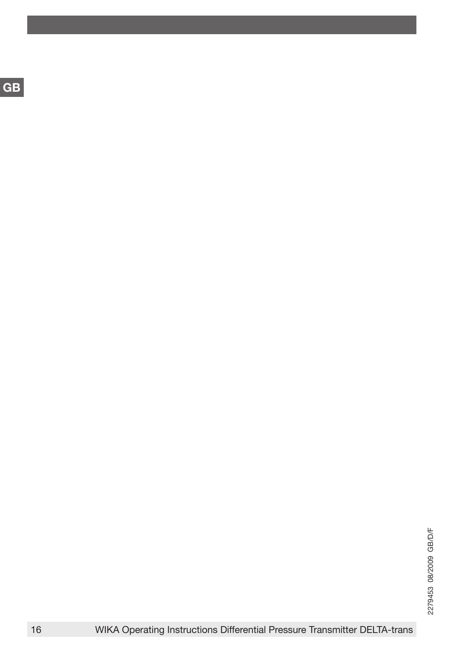**GB**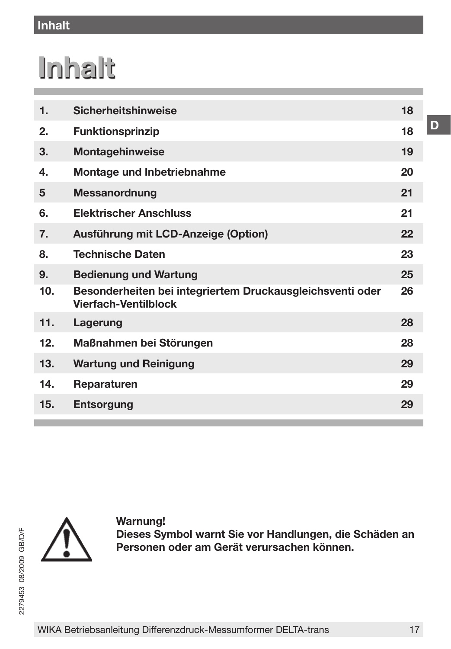# **Inhalt**

# **Inhalt**

| 1.  | <b>Sicherheitshinweise</b>                                                        | 18 |
|-----|-----------------------------------------------------------------------------------|----|
| 2.  | <b>Funktionsprinzip</b>                                                           | 18 |
| 3.  | <b>Montagehinweise</b>                                                            | 19 |
| 4.  | Montage und Inbetriebnahme                                                        | 20 |
| 5   | Messanordnung                                                                     | 21 |
| 6.  | <b>Elektrischer Anschluss</b>                                                     | 21 |
| 7.  | Ausführung mit LCD-Anzeige (Option)                                               | 22 |
| 8.  | <b>Technische Daten</b>                                                           | 23 |
| 9.  | <b>Bedienung und Wartung</b>                                                      | 25 |
| 10. | Besonderheiten bei integriertem Druckausgleichsventi oder<br>Vierfach-Ventilblock | 26 |
| 11. | Lagerung                                                                          | 28 |
| 12. | Maßnahmen bei Störungen                                                           | 28 |
| 13. | <b>Wartung und Reinigung</b>                                                      | 29 |
| 14. | Reparaturen                                                                       | 29 |
| 15. | <b>Entsorgung</b>                                                                 | 29 |
|     |                                                                                   |    |



**Warnung! Dieses Symbol warnt Sie vor Handlungen, die Schäden an Personen oder am Gerät verursachen können.**

**D**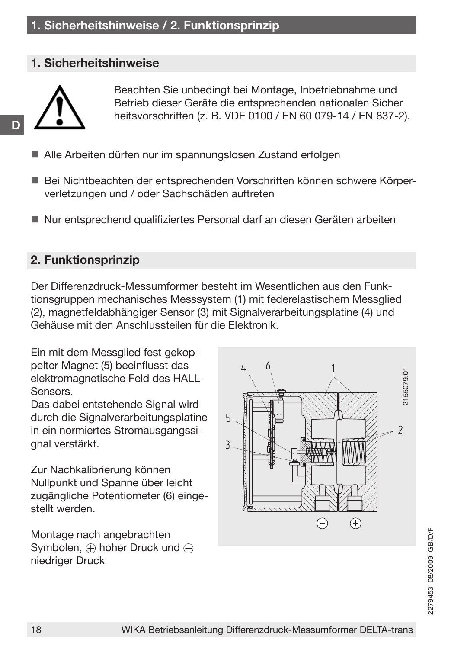### **1. Sicherheitshinweise**



**D**

 Beachten Sie unbedingt bei Montage, Inbetriebnahme und Betrieb dieser Geräte die entsprechenden nationalen Sicher heitsvorschriften (z. B. VDE 0100 / EN 60 079-14 / EN 837-2).

- Alle Arbeiten dürfen nur im spannungslosen Zustand erfolgen
- Bei Nichtbeachten der entsprechenden Vorschriften können schwere Körper verletzungen und / oder Sachschäden auftreten
- Nur entsprechend qualifiziertes Personal darf an diesen Geräten arbeiten

## **2. Funktionsprinzip**

Der Differenzdruck-Messumformer besteht im Wesentlichen aus den Funktionsgruppen mechanisches Messsystem (1) mit federelastischem Messglied (2), magnetfeldabhängiger Sensor (3) mit Signalverarbeitungsplatine (4) und Gehäuse mit den Anschlussteilen für die Elektronik.

Ein mit dem Messglied fest gekoppelter Magnet (5) beeinflusst das elektromagnetische Feld des HALL-Sensors.

Das dabei entstehende Signal wird durch die Signalverarbeitungsplatine in ein normiertes Stromausgangssignal verstärkt.

Zur Nachkalibrierung können Nullpunkt und Spanne über leicht zugängliche Potentiometer (6) eingestellt werden.

Montage nach angebrachten Symbolen,  $\oplus$  hoher Druck und  $\ominus$ niedriger Druck

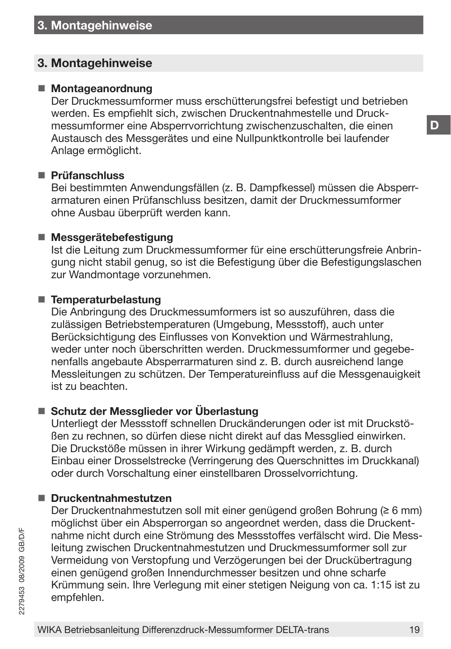### **3. Montagehinweise**

#### **Montageanordnung**

Der Druckmessumformer muss erschütterungsfrei befestigt und betrieben werden. Es empfiehlt sich, zwischen Druckentnahmestelle und Druckmessumformer eine Absperrvorrichtung zwischenzuschalten, die einen Austausch des Messgerätes und eine Nullpunktkontrolle bei laufender Anlage ermöglicht.

#### **Prüfanschluss**

Bei bestimmten Anwendungsfällen (z. B. Dampfkessel) müssen die Absperrarmaturen einen Prüfanschluss besitzen, damit der Druckmessumformer ohne Ausbau überprüft werden kann.

#### **Messgerätebefestigung**

Ist die Leitung zum Druckmessumformer für eine erschütterungsfreie Anbringung nicht stabil genug, so ist die Befestigung über die Befestigungslaschen zur Wandmontage vorzunehmen.

#### **Temperaturbelastung**

Die Anbringung des Druckmessumformers ist so auszuführen, dass die zulässigen Betriebstemperaturen (Umgebung, Messstoff), auch unter Berücksichtigung des Einflusses von Konvektion und Wärmestrahlung, weder unter noch überschritten werden. Druckmessumformer und gegebenenfalls angebaute Absperrarmaturen sind z. B. durch ausreichend lange Messleitungen zu schützen. Der Temperatureinfluss auf die Messgenauigkeit ist zu beachten.

#### ■ Schutz der Messglieder vor Überlastung

Unterliegt der Messstoff schnellen Druckänderungen oder ist mit Druckstößen zu rechnen, so dürfen diese nicht direkt auf das Messglied einwirken. Die Druckstöße müssen in ihrer Wirkung gedämpft werden, z. B. durch Einbau einer Drosselstrecke (Verringerung des Querschnittes im Druckkanal) oder durch Vorschaltung einer einstellbaren Drosselvorrichtung.

#### **Druckentnahmestutzen**

Der Druckentnahmestutzen soll mit einer genügend großen Bohrung (≥ 6 mm) möglichst über ein Absperrorgan so angeordnet werden, dass die Druckentnahme nicht durch eine Strömung des Messstoffes verfälscht wird. Die Messleitung zwischen Druckentnahmestutzen und Druckmessumformer soll zur Vermeidung von Verstopfung und Verzögerungen bei der Druckübertragung einen genügend großen Innendurchmesser besitzen und ohne scharfe Krümmung sein. Ihre Verlegung mit einer stetigen Neigung von ca. 1:15 ist zu empfehlen.

2279453 08/2009 GB/D/F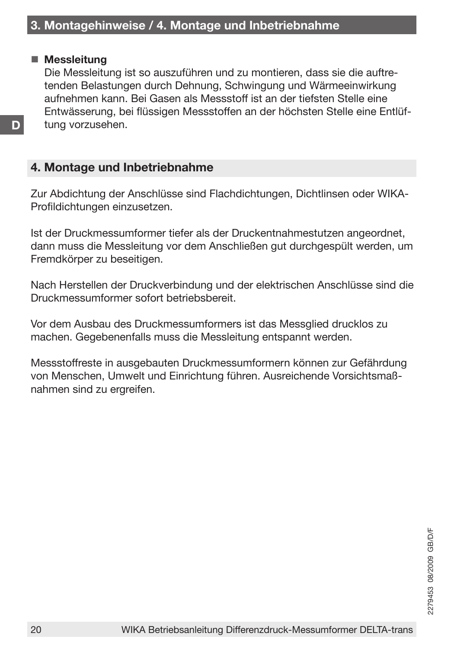#### **Messleitung**

Die Messleitung ist so auszuführen und zu montieren, dass sie die auftretenden Belastungen durch Dehnung, Schwingung und Wärmeeinwirkung aufnehmen kann. Bei Gasen als Messstoff ist an der tiefsten Stelle eine Entwässerung, bei flüssigen Messstoffen an der höchsten Stelle eine Entlüftung vorzusehen.

# **4. Montage und Inbetriebnahme**

Zur Abdichtung der Anschlüsse sind Flachdichtungen, Dichtlinsen oder WIKA-Profildichtungen einzusetzen.

Ist der Druckmessumformer tiefer als der Druckentnahmestutzen angeordnet, dann muss die Messleitung vor dem Anschließen gut durchgespült werden, um Fremdkörper zu beseitigen.

Nach Herstellen der Druckverbindung und der elektrischen Anschlüsse sind die Druckmessumformer sofort betriebsbereit.

Vor dem Ausbau des Druckmessumformers ist das Messglied drucklos zu machen. Gegebenenfalls muss die Messleitung entspannt werden.

Messstoffreste in ausgebauten Druckmessumformern können zur Gefährdung von Menschen, Umwelt und Einrichtung führen. Ausreichende Vorsichtsmaßnahmen sind zu ergreifen.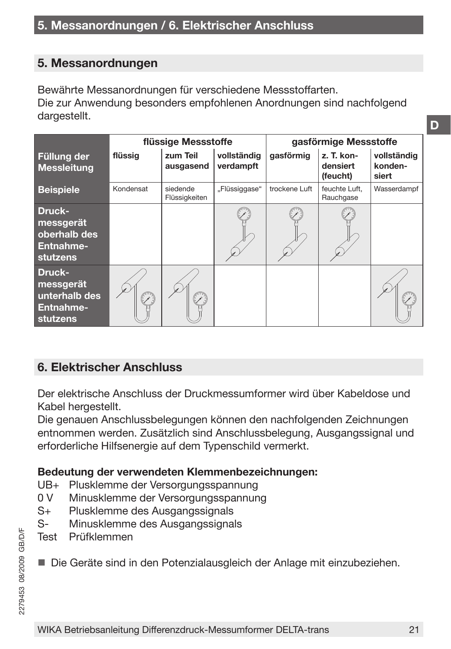# **5. Messanordnungen**

Bewährte Messanordnungen für verschiedene Messstoffarten. Die zur Anwendung besonders empfohlenen Anordnungen sind nachfolgend dargestellt.

|                                                                      |           | flüssige Messstoffe       |                          | gasförmige Messstoffe |                                    |                                 |
|----------------------------------------------------------------------|-----------|---------------------------|--------------------------|-----------------------|------------------------------------|---------------------------------|
| Füllung der<br><b>Messleitung</b>                                    | flüssig   | zum Teil<br>ausgasend     | vollständig<br>verdampft | gasförmig             | z. T. kon-<br>densiert<br>(feucht) | vollständig<br>konden-<br>siert |
| <b>Beispiele</b>                                                     | Kondensat | siedende<br>Flüssigkeiten | "Flüssiggase"            | trockene Luft         | feuchte Luft.<br>Rauchgase         | Wasserdampf                     |
| Druck-<br>messgerät<br>oberhalb des<br><b>Entnahme-</b><br>stutzens  |           |                           |                          |                       |                                    |                                 |
| Druck-<br>messgerät<br>unterhalb des<br><b>Entnahme-</b><br>stutzens |           |                           |                          |                       |                                    |                                 |

# **6. Elektrischer Anschluss**

Der elektrische Anschluss der Druckmessumformer wird über Kabeldose und Kabel hergestellt.

Die genauen Anschlussbelegungen können den nachfolgenden Zeichnungen entnommen werden. Zusätzlich sind Anschlussbelegung, Ausgangssignal und erforderliche Hilfsenergie auf dem Typenschild vermerkt.

#### **Bedeutung der verwendeten Klemmenbezeichnungen:**

- UB+ Plusklemme der Versorgungsspannung
- 0 V Minusklemme der Versorgungsspannung
- S+ Plusklemme des Ausgangssignals
- S- Minusklemme des Ausgangssignals
- Test Prüfklemmen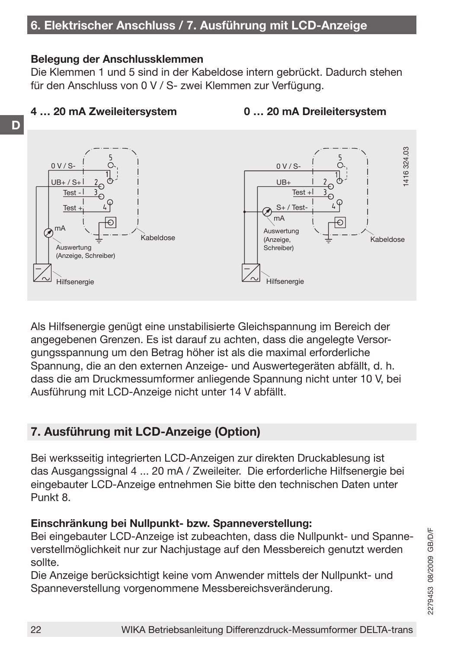# **6. Elektrischer Anschluss / 7. Ausführung mit LCD-Anzeige**

#### **Belegung der Anschlussklemmen**

Die Klemmen 1 und 5 sind in der Kabeldose intern gebrückt. Dadurch stehen für den Anschluss von 0 V / S- zwei Klemmen zur Verfügung.

#### **4 … 20 mA Zweileitersystem 0 … 20 mA Dreileitersystem**



Als Hilfsenergie genügt eine unstabilisierte Gleichspannung im Bereich der angegebenen Grenzen. Es ist darauf zu achten, dass die angelegte Versorgungsspannung um den Betrag höher ist als die maximal erforderliche Spannung, die an den externen Anzeige- und Auswertegeräten abfällt, d. h. dass die am Druckmessumformer anliegende Spannung nicht unter 10 V, bei Ausführung mit LCD-Anzeige nicht unter 14 V abfällt.

# **7. Ausführung mit LCD-Anzeige (Option)**

Bei werksseitig integrierten LCD-Anzeigen zur direkten Druckablesung ist das Ausgangssignal 4 ... 20 mA / Zweileiter. Die erforderliche Hilfsenergie bei eingebauter LCD-Anzeige entnehmen Sie bitte den technischen Daten unter Punkt 8.

#### **Einschränkung bei Nullpunkt- bzw. Spanneverstellung:**

Bei eingebauter LCD-Anzeige ist zubeachten, dass die Nullpunkt- und Spanneverstellmöglichkeit nur zur Nachjustage auf den Messbereich genutzt werden sollte.

Die Anzeige berücksichtigt keine vom Anwender mittels der Nullpunkt- und Spanneverstellung vorgenommene Messbereichsveränderung.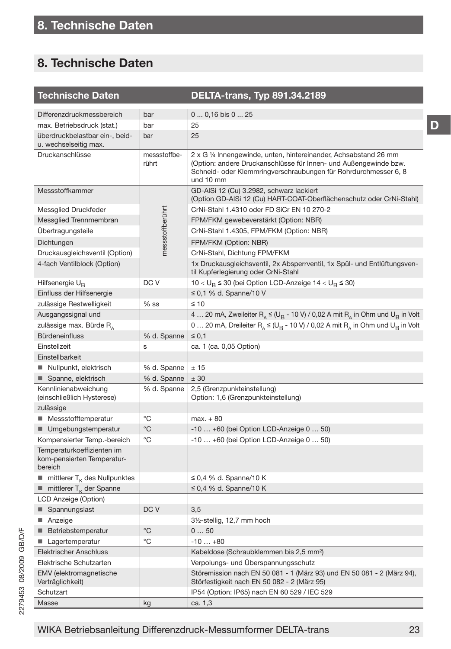# **8. Technische Daten**

| Technische Daten                                                          |                       | <b>DELTA-trans, Typ 891.34.2189</b>                                                                                                                                                                                  |
|---------------------------------------------------------------------------|-----------------------|----------------------------------------------------------------------------------------------------------------------------------------------------------------------------------------------------------------------|
| Differenzdruckmessbereich                                                 | bar                   | 0  0,16 bis 0  25                                                                                                                                                                                                    |
| max. Betriebsdruck (stat.)                                                | bar                   | 25                                                                                                                                                                                                                   |
| überdruckbelastbar ein-, beid-<br>u. wechselseitig max.                   | bar                   | 25                                                                                                                                                                                                                   |
| Druckanschlüsse                                                           | messstoffbe-<br>rührt | 2 x G 1/4 Innengewinde, unten, hintereinander, Achsabstand 26 mm<br>(Option: andere Druckanschlüsse für Innen- und Außengewinde bzw.<br>Schneid- oder Klemmringverschraubungen für Rohrdurchmesser 6, 8<br>und 10 mm |
| Messstoffkammer                                                           |                       | GD-AISi 12 (Cu) 3.2982, schwarz lackiert<br>(Option GD-AISi 12 (Cu) HART-COAT-Oberflächenschutz oder CrNi-Stahl)                                                                                                     |
| Messglied Druckfeder                                                      |                       | CrNi-Stahl 1.4310 oder FD SiCr EN 10 270-2                                                                                                                                                                           |
| Messglied Trennmembran                                                    |                       | FPM/FKM gewebeverstärkt (Option: NBR)                                                                                                                                                                                |
| Übertragungsteile                                                         | messstoffberührt      | CrNi-Stahl 1.4305, FPM/FKM (Option: NBR)                                                                                                                                                                             |
| Dichtungen                                                                |                       | FPM/FKM (Option: NBR)                                                                                                                                                                                                |
| Druckausgleichsventil (Option)                                            |                       | CrNi-Stahl, Dichtung FPM/FKM                                                                                                                                                                                         |
| 4-fach Ventilblock (Option)                                               |                       | 1x Druckausgleichsventil, 2x Absperrventil, 1x Spül- und Entlüftungsven-<br>til Kupferlegierung oder CrNi-Stahl                                                                                                      |
| Hilfsenergie U <sub>R</sub>                                               | DC V                  | 10 < $U_B \le 30$ (bei Option LCD-Anzeige 14 < $U_B \le 30$ )                                                                                                                                                        |
| Einfluss der Hilfsenergie                                                 |                       | ≤ 0,1 % d. Spanne/10 V                                                                                                                                                                                               |
| zulässige Restwelligkeit                                                  | % ss                  | $\leq 10$                                                                                                                                                                                                            |
| Ausgangssignal und                                                        |                       | 4  20 mA, Zweileiter R <sub>A</sub> $\leq$ (U <sub>R</sub> - 10 V) / 0,02 A mit R <sub>A</sub> in Ohm und U <sub>R</sub> in Volt                                                                                     |
| zulässige max. Bürde R <sub>a</sub>                                       |                       | 0  20 mA, Dreileiter R <sub>A</sub> $\leq$ (U <sub>B</sub> - 10 V) / 0,02 A mit R <sub>A</sub> in Ohm und U <sub>B</sub> in Volt                                                                                     |
| Bürdeneinfluss                                                            | % d. Spanne           | $\leq 0.1$                                                                                                                                                                                                           |
| Einstellzeit                                                              | s                     | ca. 1 (ca. 0,05 Option)                                                                                                                                                                                              |
| Einstellbarkeit                                                           |                       |                                                                                                                                                                                                                      |
| Nullpunkt, elektrisch                                                     | % d. Spanne           | ± 15                                                                                                                                                                                                                 |
| Spanne, elektrisch                                                        | % d. Spanne           | ± 30                                                                                                                                                                                                                 |
| Kennlinienabweichung<br>(einschließlich Hysterese)<br>zulässige           | % d. Spanne           | 2,5 (Grenzpunkteinstellung)<br>Option: 1,6 (Grenzpunkteinstellung)                                                                                                                                                   |
| ■ Messstofftemperatur                                                     | °C                    | $max.+80$                                                                                                                                                                                                            |
| ■ Umgebungstemperatur                                                     | °C                    | -10  +60 (bei Option LCD-Anzeige 0  50)                                                                                                                                                                              |
| Kompensierter Temp.-bereich                                               | °C                    | $-10+60$ (bei Option LCD-Anzeige $050$ )                                                                                                                                                                             |
| Temperaturkoeffizienten im<br>kom-pensierten Temperatur-<br>bereich       |                       |                                                                                                                                                                                                                      |
| $\blacksquare$ mittlerer T <sub><math>\kappa</math></sub> des Nullpunktes |                       | $\leq$ 0,4 % d. Spanne/10 K                                                                                                                                                                                          |
| $\blacksquare$ mittlerer T <sub><math>\kappa</math></sub> der Spanne      |                       | $\leq$ 0,4 % d. Spanne/10 K                                                                                                                                                                                          |
| LCD Anzeige (Option)                                                      |                       |                                                                                                                                                                                                                      |
| ■ Spannungslast                                                           | DC V                  | 3,5                                                                                                                                                                                                                  |
| Anzeige                                                                   |                       | 31/2-stellig, 12,7 mm hoch                                                                                                                                                                                           |
| <b>Betriebstemperatur</b>                                                 | $^{\circ}C$           | 050                                                                                                                                                                                                                  |
| Lagertemperatur                                                           | °C                    | $-10+80$                                                                                                                                                                                                             |
| <b>Elektrischer Anschluss</b>                                             |                       | Kabeldose (Schraubklemmen bis 2,5 mm <sup>2</sup> )                                                                                                                                                                  |
| Elektrische Schutzarten                                                   |                       | Verpolungs- und Überspannungsschutz                                                                                                                                                                                  |
| EMV (elektromagnetische<br>Verträglichkeit)                               |                       | Störemission nach EN 50 081 - 1 (März 93) und EN 50 081 - 2 (März 94),<br>Störfestigkeit nach EN 50 082 - 2 (März 95)                                                                                                |
| Schutzart                                                                 |                       | IP54 (Option: IP65) nach EN 60 529 / IEC 529                                                                                                                                                                         |
| Masse                                                                     | kg                    | ca. 1,3                                                                                                                                                                                                              |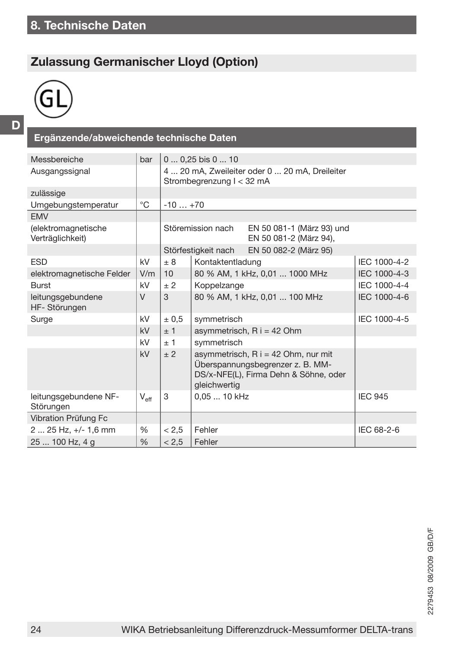# **8. Technische Daten**

# **Zulassung Germanischer Lloyd (Option)**



**D**

# **Ergänzende/abweichende technische Daten** Messbereiche  $\vert$  bar  $\vert$  0 ... 0,25 bis 0 ... 10

| Ausgangssignal                          |                  | 4  20 mA, Zweileiter oder 0  20 mA, Dreileiter<br>Strombegrenzung I < 32 mA |                                                                                                                                    |                |  |  |
|-----------------------------------------|------------------|-----------------------------------------------------------------------------|------------------------------------------------------------------------------------------------------------------------------------|----------------|--|--|
| zulässige                               |                  |                                                                             |                                                                                                                                    |                |  |  |
| Umgebungstemperatur                     | $^{\circ}$ C     | $-10+70$                                                                    |                                                                                                                                    |                |  |  |
| <b>EMV</b>                              |                  |                                                                             |                                                                                                                                    |                |  |  |
| (elektromagnetische<br>Verträglichkeit) |                  |                                                                             | Störemission nach<br>EN 50 081-1 (März 93) und<br>EN 50 081-2 (März 94),                                                           |                |  |  |
|                                         |                  |                                                                             | Störfestigkeit nach<br>EN 50 082-2 (März 95)                                                                                       |                |  |  |
| <b>ESD</b>                              | kV               | $+8$                                                                        | Kontaktentladung                                                                                                                   | IEC 1000-4-2   |  |  |
| elektromagnetische Felder               | V/m              | 10                                                                          | 80 % AM, 1 kHz, 0,01  1000 MHz                                                                                                     | IEC 1000-4-3   |  |  |
| <b>Burst</b>                            | kV               | $+2$                                                                        | Koppelzange                                                                                                                        | IEC 1000-4-4   |  |  |
| leitungsgebundene<br>HF-Störungen       | $\vee$           | 3                                                                           | 80 % AM, 1 kHz, 0,01  100 MHz                                                                                                      | IEC 1000-4-6   |  |  |
| Surge                                   | kV               | ± 0.5                                                                       | symmetrisch                                                                                                                        | IEC 1000-4-5   |  |  |
|                                         | kV               | ±1                                                                          | asymmetrisch, $R$ i = 42 Ohm                                                                                                       |                |  |  |
|                                         | kV               | $+1$                                                                        | symmetrisch                                                                                                                        |                |  |  |
|                                         | kV               | $+2$                                                                        | asymmetrisch, $R i = 42$ Ohm, nur mit<br>Überspannungsbegrenzer z. B. MM-<br>DS/x-NFE(L), Firma Dehn & Söhne, oder<br>gleichwertig |                |  |  |
| leitungsgebundene NF-<br>Störungen      | $V_{\text{eff}}$ | 3                                                                           | 0,05  10 kHz                                                                                                                       | <b>IEC 945</b> |  |  |
| Vibration Prüfung Fc                    |                  |                                                                             |                                                                                                                                    |                |  |  |
| $2 25$ Hz, $+/$ - 1,6 mm                | %                | < 2,5                                                                       | Fehler                                                                                                                             | IEC 68-2-6     |  |  |
| 25  100 Hz, 4 g                         | %                | < 2,5                                                                       | Fehler                                                                                                                             |                |  |  |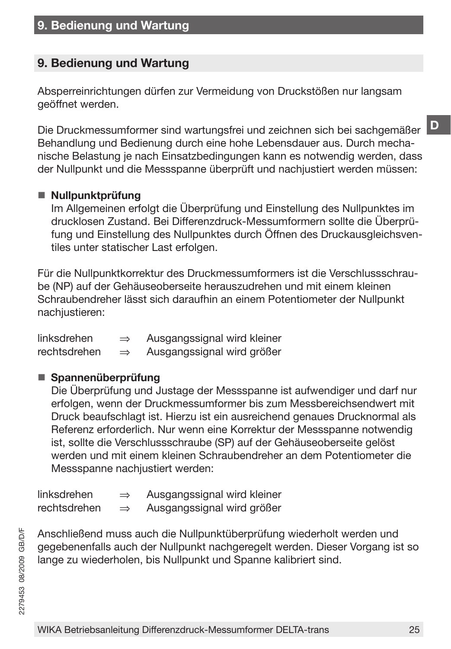# **9. Bedienung und Wartung**

Absperreinrichtungen dürfen zur Vermeidung von Druckstößen nur langsam geöffnet werden.

Die Druckmessumformer sind wartungsfrei und zeichnen sich bei sachgemäßer Behandlung und Bedienung durch eine hohe Lebensdauer aus. Durch mechanische Belastung je nach Einsatzbedingungen kann es notwendig werden, dass der Nullpunkt und die Messspanne überprüft und nachjustiert werden müssen:

#### **Nullpunktprüfung**

Im Allgemeinen erfolgt die Überprüfung und Einstellung des Nullpunktes im drucklosen Zustand. Bei Differenzdruck-Messumformern sollte die Überprüfung und Einstellung des Nullpunktes durch Öffnen des Druckausgleichsventiles unter statischer Last erfolgen.

Für die Nullpunktkorrektur des Druckmessumformers ist die Verschlussschraube (NP) auf der Gehäuseoberseite herauszudrehen und mit einem kleinen Schraubendreher lässt sich daraufhin an einem Potentiometer der Nullpunkt nachjustieren:

| linksdrehen  | $\Rightarrow$ | Ausgangssignal wird kleiner |
|--------------|---------------|-----------------------------|
| rechtsdrehen | $\Rightarrow$ | Ausgangssignal wird größer  |

#### **Spannenüberprüfung**

Die Überprüfung und Justage der Messspanne ist aufwendiger und darf nur erfolgen, wenn der Druckmessumformer bis zum Messbereichsendwert mit Druck beaufschlagt ist. Hierzu ist ein ausreichend genaues Drucknormal als Referenz erforderlich. Nur wenn eine Korrektur der Messspanne notwendig ist, sollte die Verschlussschraube (SP) auf der Gehäuseoberseite gelöst werden und mit einem kleinen Schraubendreher an dem Potentiometer die Messspanne nachjustiert werden:

| linksdrehen  | $\Rightarrow$ | Ausgangssignal wird kleiner |
|--------------|---------------|-----------------------------|
| rechtsdrehen | $\Rightarrow$ | Ausgangssignal wird größer  |

Anschließend muss auch die Nullpunktüberprüfung wiederholt werden und gegebenenfalls auch der Nullpunkt nachgeregelt werden. Dieser Vorgang ist so lange zu wiederholen, bis Nullpunkt und Spanne kalibriert sind.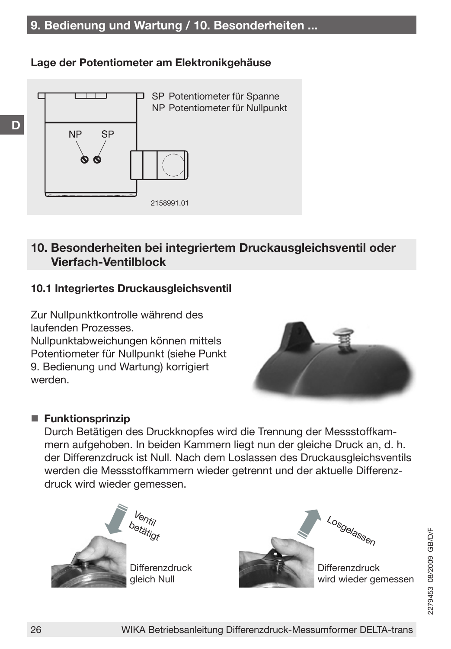#### **Lage der Potentiometer am Elektronikgehäuse**



# **10. Besonderheiten bei integriertem Druckausgleichsventil oder Vierfach-Ventilblock**

#### **10.1 Integriertes Druckausgleichsventil**

Zur Nullpunktkontrolle während des laufenden Prozesses. Nullpunktabweichungen können mittels Potentiometer für Nullpunkt (siehe Punkt 9. Bedienung und Wartung) korrigiert werden.



#### **Funktionsprinzip**

Durch Betätigen des Druckknopfes wird die Trennung der Messstoffkammern aufgehoben. In beiden Kammern liegt nun der gleiche Druck an, d. h. der Differenzdruck ist Null. Nach dem Loslassen des Druckausgleichsventils werden die Messstoffkammern wieder getrennt und der aktuelle Differenzdruck wird wieder gemessen.





Losgelassen

Differenzdruck wird wieder gemessen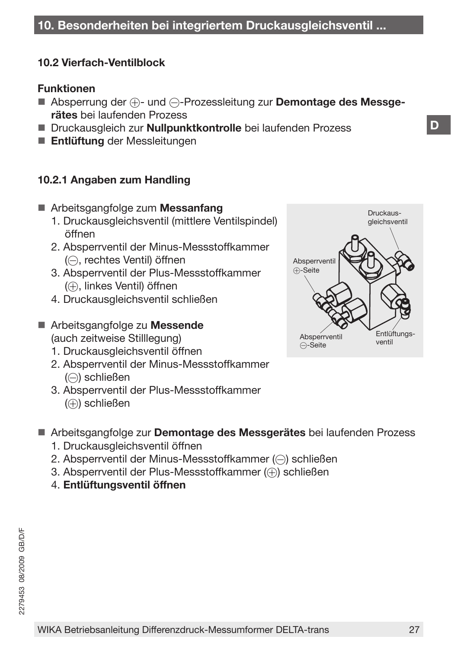#### **10.2 Vierfach-Ventilblock**

#### **Funktionen**

- Absperrung der **⊕** und  $\ominus$ -Prozessleitung zur Demontage des Messge**rätes** bei laufenden Prozess
- Druckausgleich zur **Nullpunktkontrolle** bei laufenden Prozess
- **Entlüftung** der Messleitungen

#### **10.2.1 Angaben zum Handling**

- Arbeitsgangfolge zum **Messanfang**
	- 1. Druckausgleichsventil (mittlere Ventilspindel) öffnen
	- 2. Absperrventil der Minus-Messstoffkammer  $($ <sup> $\ominus$ </sup>, rechtes Ventil) öffnen
	- 3. Absperrventil der Plus-Messstoffkammer ( $\oplus$ , linkes Ventil) öffnen
	- 4. Druckausgleichsventil schließen
- Arbeitsgangfolge zu **Messende** (auch zeitweise Stilllegung)
	- 1. Druckausgleichsventil öffnen
	- 2. Absperrventil der Minus-Messstoffkammer  $(\ominus)$  schließen
	- 3. Absperrventil der Plus-Messstoffkammer  $(\oplus)$  schließen



- Arbeitsgangfolge zur **Demontage des Messgerätes** bei laufenden Prozess
	- 1. Druckausgleichsventil öffnen
	- 2. Absperrventil der Minus-Messstoffkammer ( $\ominus$ ) schließen
	- 3. Absperrventil der Plus-Messstoffkammer ( $\oplus$ ) schließen
	- 4. **Entlüftungsventil öffnen**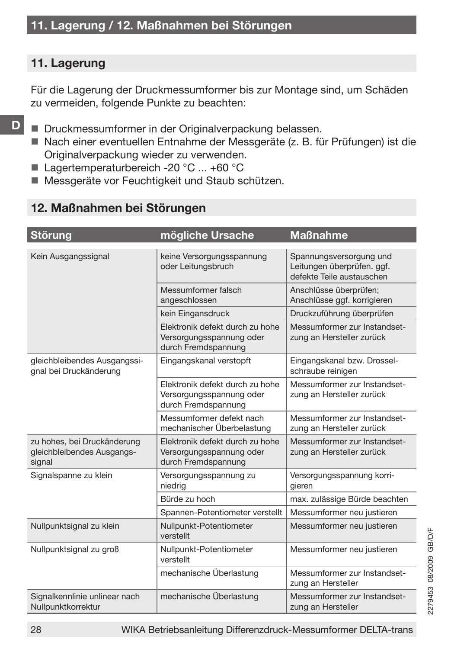# **11. Lagerung**

Für die Lagerung der Druckmessumformer bis zur Montage sind, um Schäden zu vermeiden, folgende Punkte zu beachten:

**D**

■ Druckmessumformer in der Originalverpackung belassen.

- Nach einer eventuellen Entnahme der Messgeräte (z. B. für Prüfungen) ist die Originalverpackung wieder zu verwenden.
- Lagertemperaturbereich -20 °C ... +60 °C
- Messgeräte vor Feuchtigkeit und Staub schützen.

# **12. Maßnahmen bei Störungen**

| <b>Störung</b>                                                      | mögliche Ursache                                                                   | <b>Maßnahme</b>                                                                    |
|---------------------------------------------------------------------|------------------------------------------------------------------------------------|------------------------------------------------------------------------------------|
| Kein Ausgangssignal                                                 | keine Versorgungsspannung<br>oder Leitungsbruch                                    | Spannungsversorgung und<br>Leitungen überprüfen. ggf.<br>defekte Teile austauschen |
|                                                                     | Messumformer falsch<br>angeschlossen                                               | Anschlüsse überprüfen;<br>Anschlüsse ggf. korrigieren                              |
|                                                                     | kein Eingansdruck                                                                  | Druckzuführung überprüfen                                                          |
|                                                                     | Elektronik defekt durch zu hohe<br>Versorgungsspannung oder<br>durch Fremdspannung | Messumformer zur Instandset-<br>zung an Hersteller zurück                          |
| gleichbleibendes Ausgangssi-<br>gnal bei Druckänderung              | Eingangskanal verstopft                                                            | Eingangskanal bzw. Drossel-<br>schraube reinigen                                   |
|                                                                     | Elektronik defekt durch zu hohe<br>Versorgungsspannung oder<br>durch Fremdspannung | Messumformer zur Instandset-<br>zung an Hersteller zurück                          |
|                                                                     | Messumformer defekt nach<br>mechanischer Überbelastung                             | Messumformer zur Instandset-<br>zung an Hersteller zurück                          |
| zu hohes, bei Druckänderung<br>gleichbleibendes Ausgangs-<br>signal | Elektronik defekt durch zu hohe<br>Versorgungsspannung oder<br>durch Fremdspannung | Messumformer zur Instandset-<br>zung an Hersteller zurück                          |
| Signalspanne zu klein                                               | Versorgungsspannung zu<br>niedrig                                                  | Versorgungsspannung korri-<br>gieren                                               |
|                                                                     | Bürde zu hoch                                                                      | max. zulässige Bürde beachten                                                      |
|                                                                     | Spannen-Potentiometer verstellt                                                    | Messumformer neu justieren                                                         |
| Nullpunktsignal zu klein                                            | Nullpunkt-Potentiometer<br>verstellt                                               | Messumformer neu justieren                                                         |
| Nullpunktsignal zu groß                                             | Nullpunkt-Potentiometer<br>verstellt                                               | Messumformer neu justieren                                                         |
|                                                                     | mechanische Überlastung                                                            | Messumformer zur Instandset-<br>zung an Hersteller                                 |
| Signalkennlinie unlinear nach<br>Nullpunktkorrektur                 | mechanische Überlastung                                                            | Messumformer zur Instandset-<br>zung an Hersteller                                 |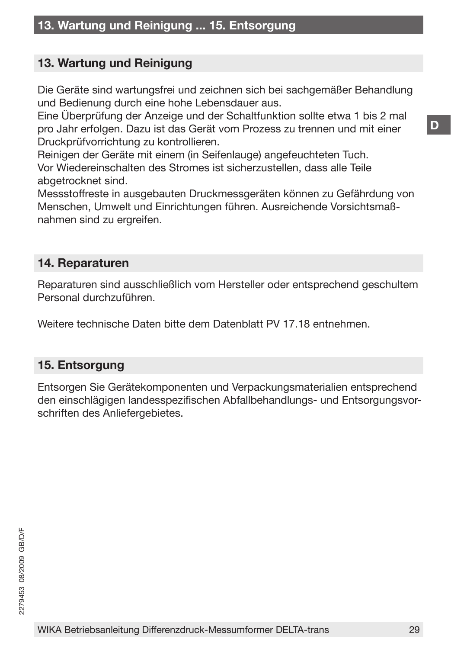# **13. Wartung und Reinigung ... 15. Entsorgung**

### **13. Wartung und Reinigung**

Die Geräte sind wartungsfrei und zeichnen sich bei sachgemäßer Behandlung und Bedienung durch eine hohe Lebensdauer aus.

Eine Überprüfung der Anzeige und der Schaltfunktion sollte etwa 1 bis 2 mal pro Jahr erfolgen. Dazu ist das Gerät vom Prozess zu trennen und mit einer Druckprüfvorrichtung zu kontrollieren.

Reinigen der Geräte mit einem (in Seifenlauge) angefeuchteten Tuch. Vor Wiedereinschalten des Stromes ist sicherzustellen, dass alle Teile abgetrocknet sind.

Messstoffreste in ausgebauten Druckmessgeräten können zu Gefährdung von Menschen, Umwelt und Einrichtungen führen. Ausreichende Vorsichtsmaßnahmen sind zu ergreifen.

#### **14. Reparaturen**

Reparaturen sind ausschließlich vom Hersteller oder entsprechend geschultem Personal durchzuführen.

Weitere technische Daten bitte dem Datenblatt PV 17.18 entnehmen.

#### **15. Entsorgung**

Entsorgen Sie Gerätekomponenten und Verpackungsmaterialien entsprechend den einschlägigen landesspezifischen Abfallbehandlungs- und Entsorgungsvorschriften des Anliefergebietes.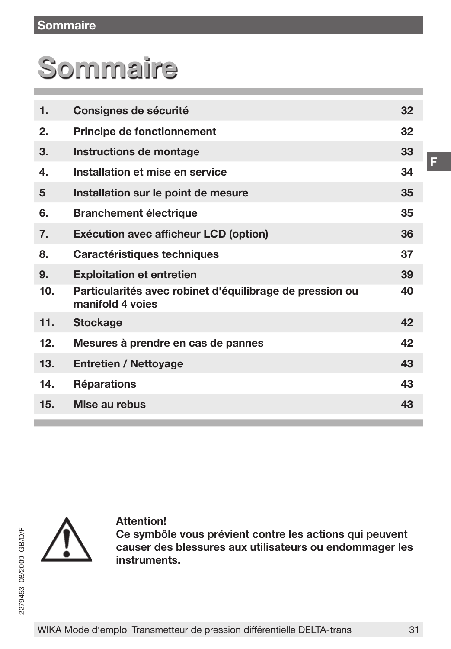# **Sommaire**

| 1.  | Consignes de sécurité                                                        | 32 |
|-----|------------------------------------------------------------------------------|----|
| 2.  | <b>Principe de fonctionnement</b>                                            | 32 |
| 3.  | Instructions de montage                                                      | 33 |
| 4.  | Installation et mise en service                                              | 34 |
| 5   | Installation sur le point de mesure                                          | 35 |
| 6.  | <b>Branchement électrique</b>                                                | 35 |
| 7.  | <b>Exécution avec afficheur LCD (option)</b>                                 | 36 |
| 8.  | Caractéristiques techniques                                                  | 37 |
| 9.  | <b>Exploitation et entretien</b>                                             | 39 |
| 10. | Particularités avec robinet d'équilibrage de pression ou<br>manifold 4 voies | 40 |
| 11. | <b>Stockage</b>                                                              | 42 |
| 12. | Mesures à prendre en cas de pannes                                           | 42 |
| 13. | <b>Entretien / Nettoyage</b>                                                 | 43 |
| 14. | <b>Réparations</b>                                                           | 43 |
| 15. | Mise au rebus                                                                | 43 |
|     |                                                                              |    |



**Attention!**

**Ce symbôle vous prévient contre les actions qui peuvent causer des blessures aux utilisateurs ou endommager les instruments.**

**F**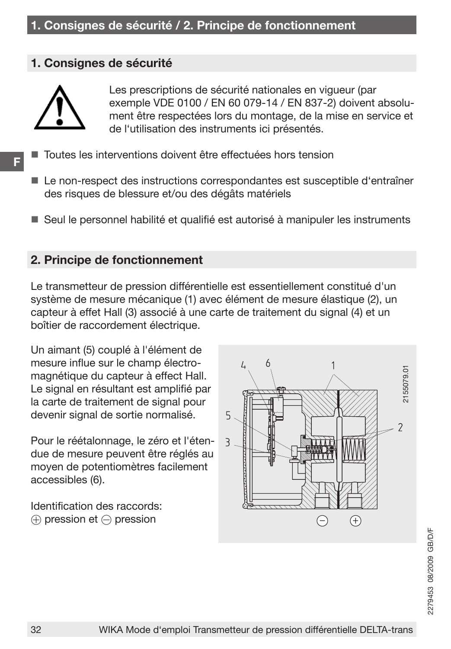# **1. Consignes de sécurité**



**F**

Les prescriptions de sécurité nationales en vigueur (par exemple VDE 0100 / EN 60 079-14 / EN 837-2) doivent absolument être respectées lors du montage, de la mise en service et de l'utilisation des instruments ici présentés.

- Toutes les interventions doivent être effectuées hors tension E.
- Le non-respect des instructions correspondantes est susceptible d'entraîner des risques de blessure et/ou des dégâts matériels
- Seul le personnel habilité et qualifié est autorisé à manipuler les instruments

# **2. Principe de fonctionnement**

Le transmetteur de pression différentielle est essentiellement constitué d'un système de mesure mécanique (1) avec élément de mesure élastique (2), un capteur à effet Hall (3) associé à une carte de traitement du signal (4) et un boîtier de raccordement électrique.

Un aimant (5) couplé à l'élément de mesure influe sur le champ électromagnétique du capteur à effect Hall. Le signal en résultant est amplifié par la carte de traitement de signal pour devenir signal de sortie normalisé.

Pour le réétalonnage, le zéro et l'étendue de mesure peuvent être réglés au moyen de potentiomètres facilement accessibles (6).

Identification des raccords:  $\oplus$  pression et  $\ominus$  pression

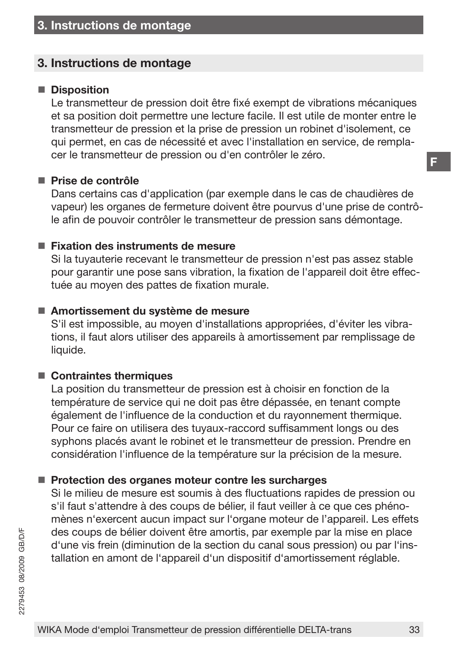# **3. Instructions de montage**

#### **Disposition**

Le transmetteur de pression doit être fixé exempt de vibrations mécaniques et sa position doit permettre une lecture facile. Il est utile de monter entre le transmetteur de pression et la prise de pression un robinet d'isolement, ce qui permet, en cas de nécessité et avec l'installation en service, de remplacer le transmetteur de pression ou d'en contrôler le zéro.

#### **Prise de contrôle**

Dans certains cas d'application (par exemple dans le cas de chaudières de vapeur) les organes de fermeture doivent être pourvus d'une prise de contrôle afin de pouvoir contrôler le transmetteur de pression sans démontage.

#### **Fixation des instruments de mesure**

Si la tuyauterie recevant le transmetteur de pression n'est pas assez stable pour garantir une pose sans vibration, la fixation de l'appareil doit être effectuée au moyen des pattes de fixation murale.

#### **Amortissement du système de mesure**

S'il est impossible, au moyen d'installations appropriées, d'éviter les vibrations, il faut alors utiliser des appareils à amortissement par remplissage de liquide.

#### **Contraintes thermiques**

La position du transmetteur de pression est à choisir en fonction de la température de service qui ne doit pas être dépassée, en tenant compte également de l'influence de la conduction et du rayonnement thermique. Pour ce faire on utilisera des tuyaux-raccord suffisamment longs ou des syphons placés avant le robinet et le transmetteur de pression. Prendre en considération l'influence de la température sur la précision de la mesure.

#### **Protection des organes moteur contre les surcharges**

Si le milieu de mesure est soumis à des fluctuations rapides de pression ou s'il faut s'attendre à des coups de bélier, il faut veiller à ce que ces phénomènes n'exercent aucun impact sur l'organe moteur de l'appareil. Les effets des coups de bélier doivent être amortis, par exemple par la mise en place d'une vis frein (diminution de la section du canal sous pression) ou par l'installation en amont de l'appareil d'un dispositif d'amortissement réglable.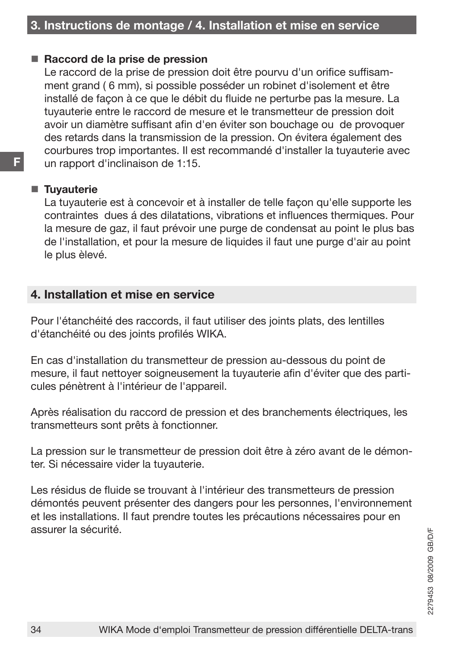#### ■ Raccord de la prise de pression

Le raccord de la prise de pression doit être pourvu d'un orifice suffisamment grand ( 6 mm), si possible posséder un robinet d'isolement et être installé de façon à ce que le débit du fluide ne perturbe pas la mesure. La tuyauterie entre le raccord de mesure et le transmetteur de pression doit avoir un diamètre suffisant afin d'en éviter son bouchage ou de provoquer des retards dans la transmission de la pression. On évitera également des courbures trop importantes. Il est recommandé d'installer la tuyauterie avec un rapport d'inclinaison de 1:15.

#### **Tuyauterie**

La tuyauterie est à concevoir et à installer de telle façon qu'elle supporte les contraintes dues á des dilatations, vibrations et influences thermiques. Pour la mesure de gaz, il faut prévoir une purge de condensat au point le plus bas de l'installation, et pour la mesure de liquides il faut une purge d'air au point le plus èlevé.

# **4. Installation et mise en service**

Pour l'étanchéité des raccords, il faut utiliser des joints plats, des lentilles d'étanchéité ou des joints profilés WIKA.

En cas d'installation du transmetteur de pression au-dessous du point de mesure, il faut nettoyer soigneusement la tuyauterie afin d'éviter que des particules pénètrent à l'intérieur de l'appareil.

Après réalisation du raccord de pression et des branchements électriques, les transmetteurs sont prêts à fonctionner.

La pression sur le transmetteur de pression doit être à zéro avant de le démonter. Si nécessaire vider la tuyauterie.

Les résidus de fluide se trouvant à l'intérieur des transmetteurs de pression démontés peuvent présenter des dangers pour les personnes, l'environnement et les installations. Il faut prendre toutes les précautions nécessaires pour en assurer la sécurité.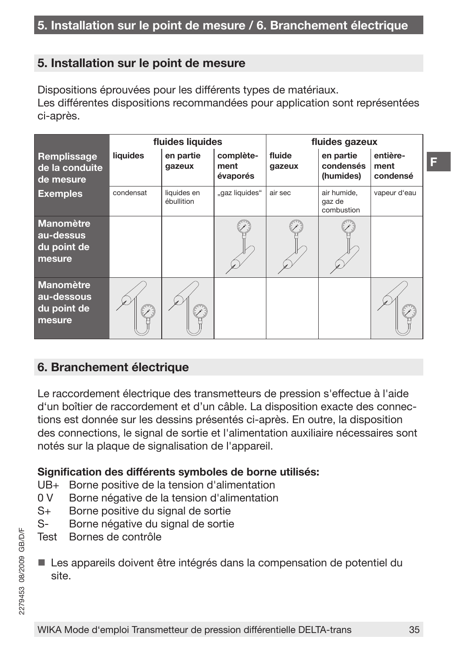# **5. Installation sur le point de mesure**

Dispositions éprouvées pour les différents types de matériaux. Les différentes dispositions recommandées pour application sont représentées ci-après.

|                                                         | fluides liquides |                           |                               | fluides gazeux   |                                     |                              |   |
|---------------------------------------------------------|------------------|---------------------------|-------------------------------|------------------|-------------------------------------|------------------------------|---|
| Remplissage<br>de la conduite<br>de mesure              | liquides         | en partie<br>gazeux       | complète-<br>ment<br>évaporés | fluide<br>gazeux | en partie<br>condensés<br>(humides) | entière-<br>ment<br>condensé | F |
| <b>Exemples</b>                                         | condensat        | liquides en<br>ébullition | "gaz liquides"                | air sec          | air humide,<br>gaz de<br>combustion | vapeur d'eau                 |   |
| <b>Manomètre</b><br>au-dessus<br>du point de<br>mesure  |                  |                           |                               |                  |                                     |                              |   |
| <b>Manomètre</b><br>au-dessous<br>du point de<br>mesure |                  |                           |                               |                  |                                     |                              |   |

# **6. Branchement électrique**

Le raccordement électrique des transmetteurs de pression s'effectue à l'aide d'un boîtier de raccordement et d'un câble. La disposition exacte des connections est donnée sur les dessins présentés ci-après. En outre, la disposition des connections, le signal de sortie et l'alimentation auxiliaire nécessaires sont notés sur la plaque de signalisation de l'appareil.

#### **Signification des différents symboles de borne utilisés:**

- UB+ Borne positive de la tension d'alimentation
- 0 V Borne négative de la tension d'alimentation
- S+ Borne positive du signal de sortie
- S- Borne négative du signal de sortie
- Test Bornes de contrôle
- Les appareils doivent être intégrés dans la compensation de potentiel du site.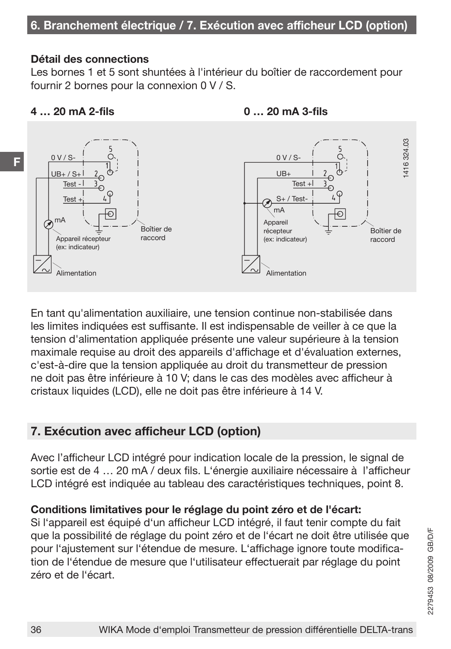#### **Détail des connections**

Les bornes 1 et 5 sont shuntées à l'intérieur du boîtier de raccordement pour fournir 2 bornes pour la connexion 0 V / S.





En tant qu'alimentation auxiliaire, une tension continue non-stabilisée dans les limites indiquées est suffisante. Il est indispensable de veiller à ce que la tension d'alimentation appliquée présente une valeur supérieure à la tension maximale requise au droit des appareils d'affichage et d'évaluation externes, c'est-à-dire que la tension appliquée au droit du transmetteur de pression ne doit pas être inférieure à 10 V; dans le cas des modèles avec afficheur à cristaux liquides (LCD), elle ne doit pas être inférieure à 14 V.

# **7. Exécution avec afficheur LCD (option)**

Avec l'afficheur LCD intégré pour indication locale de la pression, le signal de sortie est de 4 ... 20 mA / deux fils. L'énergie auxiliaire nécessaire à l'afficheur LCD intégré est indiquée au tableau des caractéristiques techniques, point 8.

# **Conditions limitatives pour le réglage du point zéro et de l'écart:**

Si l'appareil est équipé d'un afficheur LCD intégré, il faut tenir compte du fait que la possibilité de réglage du point zéro et de l'écart ne doit être utilisée que pour l'ajustement sur l'étendue de mesure. L'affichage ignore toute modification de l'étendue de mesure que l'utilisateur effectuerait par réglage du point zéro et de l'écart.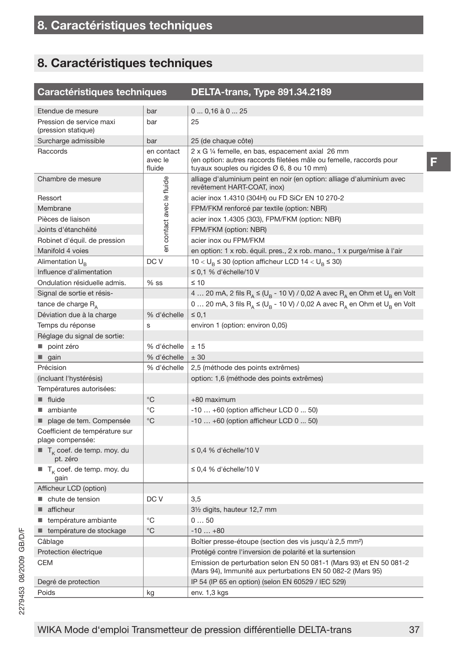# **8. Caractéristiques techniques**

# **Caractéristiques techniques DELTA-trans, Type 891.34.2189**

| Etendue de mesure                                                | bar                             | $00.16$ à $025$                                                                                                                                                                    |
|------------------------------------------------------------------|---------------------------------|------------------------------------------------------------------------------------------------------------------------------------------------------------------------------------|
| Pression de service maxi<br>(pression statique)                  | bar                             | 25                                                                                                                                                                                 |
| Surcharge admissible                                             | bar                             | 25 (de chaque côte)                                                                                                                                                                |
| Raccords                                                         | en contact<br>avec le<br>fluide | 2 x G 1/4 femelle, en bas, espacement axial 26 mm<br>(en option: autres raccords filetées mâle ou femelle, raccords pour<br>tuyaux souples ou rigides $\varnothing$ 6, 8 ou 10 mm) |
| Chambre de mesure                                                | contact avec le fluide          | alliage d'aluminium peint en noir (en option: alliage d'aluminium avec<br>revêtement HART-COAT, inox)                                                                              |
| Ressort                                                          |                                 | acier inox 1.4310 (304H) ou FD SiCr EN 10 270-2                                                                                                                                    |
| Membrane                                                         |                                 | FPM/FKM renforcé par textile (option: NBR)                                                                                                                                         |
| Pièces de liaison                                                |                                 | acier inox 1.4305 (303), FPM/FKM (option: NBR)                                                                                                                                     |
| Joints d'étanchéité                                              |                                 | FPM/FKM (option: NBR)                                                                                                                                                              |
| Robinet d'équil. de pression                                     |                                 | acier inox ou FPM/FKM                                                                                                                                                              |
| Manifold 4 voies                                                 | 5                               | en option: 1 x rob. équil. pres., 2 x rob. mano., 1 x purge/mise à l'air                                                                                                           |
| Alimentation $U_{R}$                                             | DC V                            | 10 < $U_B \le 30$ (option afficheur LCD 14 < $U_B \le 30$ )                                                                                                                        |
| Influence d'alimentation                                         |                                 | $\leq$ 0,1 % d'échelle/10 V                                                                                                                                                        |
| Ondulation résiduelle admis.                                     | $%$ ss                          | $\leq 10$                                                                                                                                                                          |
| Signal de sortie et résis-                                       |                                 | 4  20 mA, 2 fils $R_A \leq (U_B - 10 V) / 0.02 A$ avec $R_A$ en Ohm et $U_B$ en Volt                                                                                               |
| tance de charge $R_{\text{A}}$                                   |                                 | 0  20 mA, 3 fils $R_A \leq (U_B - 10 V) / 0.02 A$ avec $R_A$ en Ohm et $U_B$ en Volt                                                                                               |
| Déviation due à la charge                                        | % d'échelle                     | $\leq 0.1$                                                                                                                                                                         |
| Temps du réponse                                                 | S                               | environ 1 (option: environ 0,05)                                                                                                                                                   |
| Réglage du signal de sortie:                                     |                                 |                                                                                                                                                                                    |
| point zéro                                                       | % d'échelle                     | ±15                                                                                                                                                                                |
| $\blacksquare$ gain                                              | % d'échelle                     | ± 30                                                                                                                                                                               |
| Précision                                                        | % d'échelle                     | 2,5 (méthode des points extrêmes)                                                                                                                                                  |
| (incluant l'hystérésis)                                          |                                 | option: 1,6 (méthode des points extrêmes)                                                                                                                                          |
| Températures autorisées:                                         |                                 |                                                                                                                                                                                    |
| $\blacksquare$ fluide                                            | $^{\circ}$ C                    | +80 maximum                                                                                                                                                                        |
| ambiante                                                         | °C                              | $-10 +60$ (option afficheur LCD $0 50$ )                                                                                                                                           |
| plage de tem. Compensée                                          | °C                              | -10  +60 (option afficheur LCD 0  50)                                                                                                                                              |
| Coefficient de température sur<br>plage compensée:               |                                 |                                                                                                                                                                                    |
| $\blacksquare$ T <sub>K</sub> coef. de temp. moy. du<br>pt. zéro |                                 | $\leq$ 0,4 % d'échelle/10 V                                                                                                                                                        |
| $\blacksquare$ T <sub>K</sub> coef. de temp. moy. du<br>gain     |                                 | $\leq$ 0,4 % d'échelle/10 V                                                                                                                                                        |
| Afficheur LCD (option)                                           |                                 |                                                                                                                                                                                    |
| chute de tension                                                 | DC V                            | 3.5                                                                                                                                                                                |
| afficheur                                                        |                                 | 31/2 digits, hauteur 12,7 mm                                                                                                                                                       |
| ■ température ambiante                                           | $^{\circ}C$                     | 050                                                                                                                                                                                |
| ■ température de stockage                                        | °C                              | $-10+80$                                                                                                                                                                           |
| Câblage                                                          |                                 | Boîtier presse-étoupe (section des vis jusqu'à 2,5 mm <sup>2</sup> )                                                                                                               |
| Protection électrique                                            |                                 | Protégé contre l'inversion de polarité et la surtension                                                                                                                            |
| <b>CEM</b>                                                       |                                 | Emission de perturbation selon EN 50 081-1 (Mars 93) et EN 50 081-2<br>(Mars 94), Immunité aux perturbations EN 50 082-2 (Mars 95)                                                 |
| Degré de protection                                              |                                 | IP 54 (IP 65 en option) (selon EN 60529 / IEC 529)                                                                                                                                 |
| Poids                                                            | kg                              | env. 1,3 kgs                                                                                                                                                                       |

**F**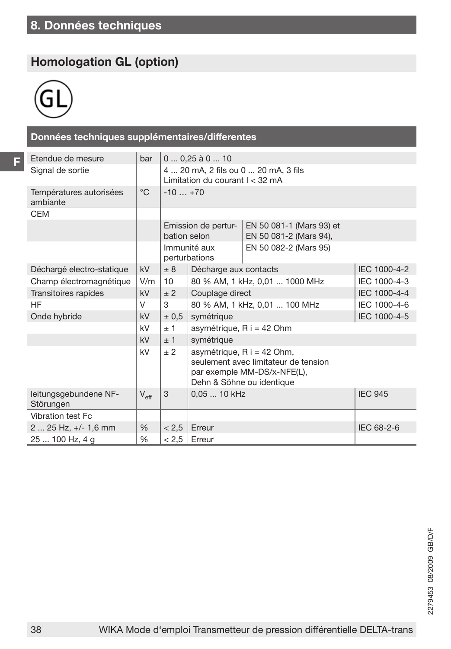# **Homologation GL (option)**



| Données techniques supplémentaires/differentes |                  |                                                                                           |                                                                                                                                |                                |                |  |
|------------------------------------------------|------------------|-------------------------------------------------------------------------------------------|--------------------------------------------------------------------------------------------------------------------------------|--------------------------------|----------------|--|
| Etendue de mesure                              | bar              |                                                                                           | $00.25$ à $010$                                                                                                                |                                |                |  |
| Signal de sortie                               |                  |                                                                                           | 4  20 mA, 2 fils ou 0  20 mA, 3 fils<br>Limitation du courant $l < 32$ mA                                                      |                                |                |  |
| Températures autorisées<br>ambiante            | $^{\circ}$ C     |                                                                                           | $-10+70$                                                                                                                       |                                |                |  |
| <b>CEM</b>                                     |                  |                                                                                           |                                                                                                                                |                                |                |  |
|                                                |                  | EN 50 081-1 (Mars 93) et<br>Emission de pertur-<br>bation selon<br>EN 50 081-2 (Mars 94), |                                                                                                                                |                                |                |  |
|                                                |                  |                                                                                           | Immunité aux<br>perturbations                                                                                                  | EN 50 082-2 (Mars 95)          |                |  |
| Déchargé electro-statique                      | kV               | $+8$                                                                                      | Décharge aux contacts                                                                                                          |                                | IEC 1000-4-2   |  |
| Champ électromagnétique                        | V/m              | 10                                                                                        |                                                                                                                                | 80 % AM, 1 kHz, 0,01  1000 MHz | IEC 1000-4-3   |  |
| Transitoires rapides                           | kV               | $+2$                                                                                      | Couplage direct<br>IEC 1000-4-4                                                                                                |                                |                |  |
| <b>HF</b>                                      | V                | 3<br>80 % AM, 1 kHz, 0,01  100 MHz                                                        |                                                                                                                                |                                | IEC 1000-4-6   |  |
| Onde hybride                                   | kV               | ± 0.5                                                                                     | symétrique<br>IEC 1000-4-5                                                                                                     |                                |                |  |
|                                                | kV               | $+1$                                                                                      | asymétrique, R i = 42 Ohm                                                                                                      |                                |                |  |
|                                                | kV               | ±1                                                                                        | symétrique                                                                                                                     |                                |                |  |
|                                                | kV               | $+2$                                                                                      | asymétrique, R i = 42 Ohm,<br>seulement avec limitateur de tension<br>par exemple MM-DS/x-NFE(L),<br>Dehn & Söhne ou identique |                                |                |  |
| leitungsgebundene NF-<br>Störungen             | $V_{\text{eff}}$ | 3                                                                                         | 0,05  10 kHz                                                                                                                   |                                | <b>IEC 945</b> |  |
| Vibration test Fc                              |                  |                                                                                           |                                                                                                                                |                                |                |  |
| 2  25 Hz, +/- 1,6 mm                           | %                | < 2,5                                                                                     | Erreur                                                                                                                         |                                | IEC 68-2-6     |  |
| 25  100 Hz, 4 g                                | $\frac{0}{0}$    | < 2.5                                                                                     | Erreur                                                                                                                         |                                |                |  |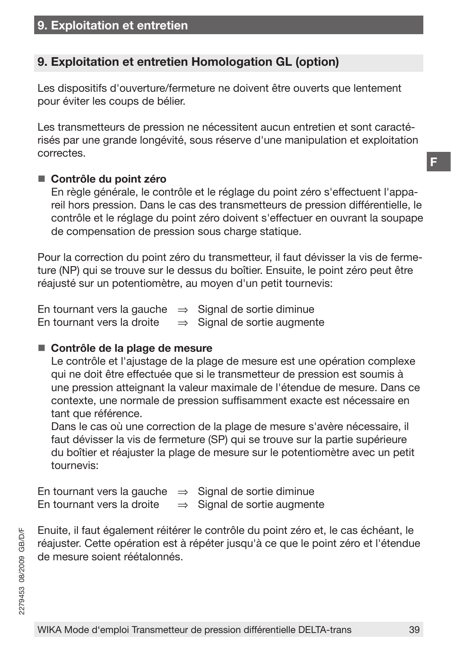# **9. Exploitation et entretien Homologation GL (option)**

Les dispositifs d'ouverture/fermeture ne doivent être ouverts que lentement pour éviter les coups de bélier.

Les transmetteurs de pression ne nécessitent aucun entretien et sont caractérisés par une grande longévité, sous réserve d'une manipulation et exploitation correctes.

#### **Contrôle du point zéro**

En règle générale, le contrôle et le réglage du point zéro s'effectuent l'appareil hors pression. Dans le cas des transmetteurs de pression différentielle, le contrôle et le réglage du point zéro doivent s'effectuer en ouvrant la soupape de compensation de pression sous charge statique.

Pour la correction du point zéro du transmetteur, il faut dévisser la vis de fermeture (NP) qui se trouve sur le dessus du boîtier. Ensuite, le point zéro peut être réajusté sur un potentiomètre, au moyen d'un petit tournevis:

| En tournant vers la gauche $\Rightarrow$ Signal de sortie diminue |                                         |
|-------------------------------------------------------------------|-----------------------------------------|
| En tournant vers la droite                                        | $\Rightarrow$ Signal de sortie augmente |

#### **Contrôle de la plage de mesure**

Le contrôle et l'ajustage de la plage de mesure est une opération complexe qui ne doit être effectuée que si le transmetteur de pression est soumis à une pression atteignant la valeur maximale de l'étendue de mesure. Dans ce contexte, une normale de pression suffisamment exacte est nécessaire en tant que référence.

Dans le cas où une correction de la plage de mesure s'avère nécessaire, il faut dévisser la vis de fermeture (SP) qui se trouve sur la partie supérieure du boîtier et réajuster la plage de mesure sur le potentiomètre avec un petit tournevis:

| En tournant vers la gauche $\Rightarrow$ Signal de sortie diminue |                                         |
|-------------------------------------------------------------------|-----------------------------------------|
| En tournant vers la droite                                        | $\Rightarrow$ Signal de sortie augmente |

Enuite, il faut également réitérer le contrôle du point zéro et, le cas échéant, le réajuster. Cette opération est à répéter jusqu'à ce que le point zéro et l'étendue de mesure soient réétalonnés.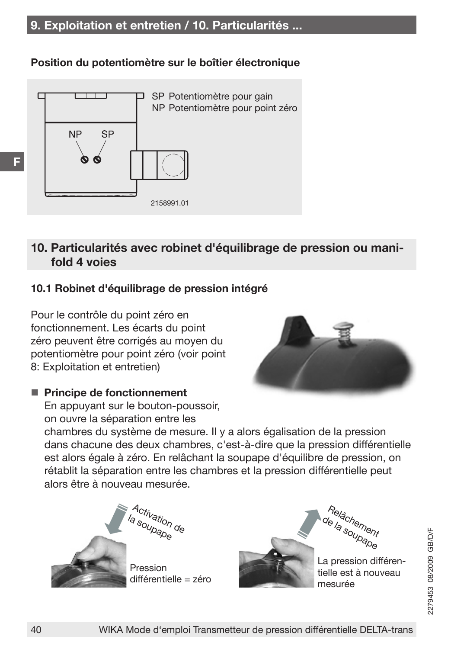#### **Position du potentiomètre sur le boîtier électronique**



# **10. Particularités avec robinet d'équilibrage de pression ou manifold 4 voies**

### **10.1 Robinet d'équilibrage de pression intégré**

Pour le contrôle du point zéro en fonctionnement. Les écarts du point zéro peuvent être corrigés au moyen du potentiomètre pour point zéro (voir point 8: Exploitation et entretien)

#### **Principe de fonctionnement**

En appuyant sur le bouton-poussoir, on ouvre la séparation entre les



chambres du système de mesure. Il y a alors égalisation de la pression dans chacune des deux chambres, c'est-à-dire que la pression différentielle est alors égale à zéro. En relâchant la soupape d'équilibre de pression, on rétablit la séparation entre les chambres et la pression différentielle peut alors être à nouveau mesurée.





Relâchement de la soupape

La pression différentielle est à nouveau mesurée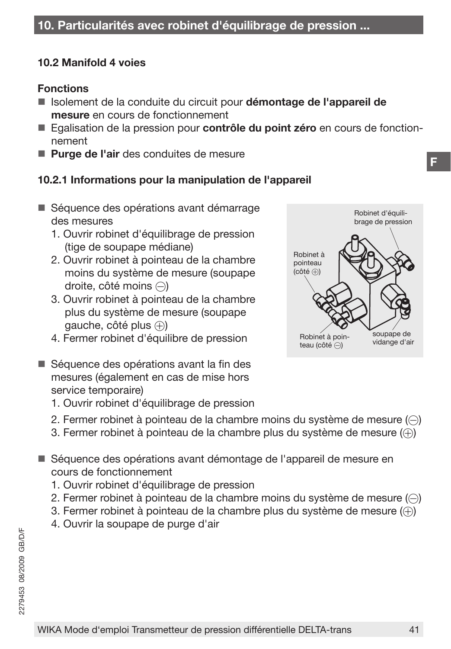#### **10.2 Manifold 4 voies**

#### **Fonctions**

- Isolement de la conduite du circuit pour **démontage de l'appareil de mesure** en cours de fonctionnement
- Egalisation de la pression pour **contrôle du point zéro** en cours de fonction nement
- **Purge de l'air** des conduites de mesure

#### **10.2.1 Informations pour la manipulation de l'appareil**

- Séquence des opérations avant démarrage des mesures
	- 1. Ouvrir robinet d'équilibrage de pression (tige de soupape médiane)
	- 2. Ouvrir robinet à pointeau de la chambre moins du système de mesure (soupape droite, côté moins  $\ominus$ )
	- 3. Ouvrir robinet à pointeau de la chambre plus du système de mesure (soupape gauche, côté plus  $\oplus$ )
	- 4. Fermer robinet d'équilibre de pression
- Séquence des opérations avant la fin des mesures (également en cas de mise hors service temporaire)
	- 1. Ouvrir robinet d'équilibrage de pression
	- 2. Fermer robinet à pointeau de la chambre moins du système de mesure  $(\ominus)$
	- 3. Fermer robinet à pointeau de la chambre plus du système de mesure  $(\oplus)$
- Séquence des opérations avant démontage de l'appareil de mesure en cours de fonctionnement
	- 1. Ouvrir robinet d'équilibrage de pression
	- 2. Fermer robinet à pointeau de la chambre moins du système de mesure  $(\ominus)$
	- 3. Fermer robinet à pointeau de la chambre plus du système de mesure  $(\oplus)$
	- 4. Ouvrir la soupape de purge d'air

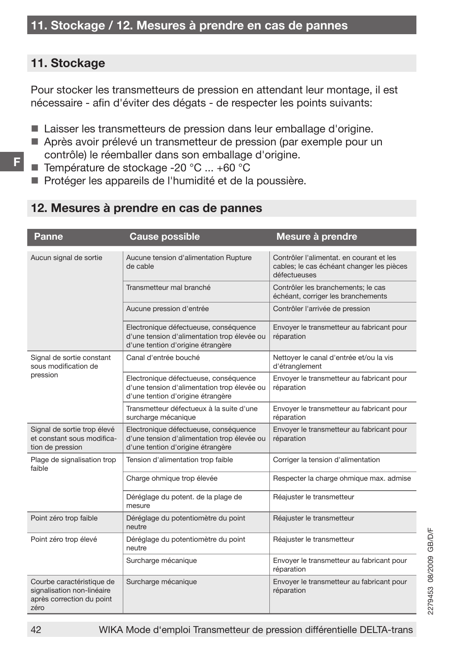# **11. Stockage**

Pour stocker les transmetteurs de pression en attendant leur montage, il est nécessaire - afin d'éviter des dégats - de respecter les points suivants:

- Laisser les transmetteurs de pression dans leur emballage d'origine.
- Après avoir prélevé un transmetteur de pression (par exemple pour un contrôle) le réemballer dans son emballage d'origine.
- Température de stockage -20 °C ... +60 °C
- Protéger les appareils de l'humidité et de la poussière.

# **12. Mesures à prendre en cas de pannes**

| Panne                                                                                        | <b>Cause possible</b>                                                                                                     | Mesure à prendre                                                                                      |
|----------------------------------------------------------------------------------------------|---------------------------------------------------------------------------------------------------------------------------|-------------------------------------------------------------------------------------------------------|
| Aucun signal de sortie                                                                       | Aucune tension d'alimentation Rupture<br>de cable                                                                         | Contrôler l'alimentat, en courant et les<br>cables; le cas échéant changer les pièces<br>défectueuses |
|                                                                                              | Transmetteur mal branché                                                                                                  | Contrôler les branchements; le cas<br>échéant, corriger les branchements                              |
|                                                                                              | Aucune pression d'entrée                                                                                                  | Contrôler l'arrivée de pression                                                                       |
|                                                                                              | Electronique défectueuse, conséquence<br>d'une tension d'alimentation trop élevée ou<br>d'une tention d'origine étrangère | Envoyer le transmetteur au fabricant pour<br>réparation                                               |
| Signal de sortie constant<br>sous modification de                                            | Canal d'entrée bouché                                                                                                     | Nettoyer le canal d'entrée et/ou la vis<br>d'étranglement                                             |
| pression                                                                                     | Electronique défectueuse, conséquence<br>d'une tension d'alimentation trop élevée ou<br>d'une tention d'origine étrangère | Envoyer le transmetteur au fabricant pour<br>réparation                                               |
|                                                                                              | Transmetteur défectueux à la suite d'une<br>surcharge mécanique                                                           | Envoyer le transmetteur au fabricant pour<br>réparation                                               |
| Signal de sortie trop élevé<br>et constant sous modifica-<br>tion de pression                | Electronique défectueuse, conséquence<br>d'une tension d'alimentation trop élevée ou<br>d'une tention d'origine étrangère | Envoyer le transmetteur au fabricant pour<br>réparation                                               |
| Plage de signalisation trop<br>faible                                                        | Tension d'alimentation trop faible                                                                                        | Corriger la tension d'alimentation                                                                    |
|                                                                                              | Charge ohmique trop élevée                                                                                                | Respecter la charge ohmique max. admise                                                               |
|                                                                                              | Déréglage du potent. de la plage de<br>mesure                                                                             | Réajuster le transmetteur                                                                             |
| Point zéro trop faible                                                                       | Déréglage du potentiomètre du point<br>neutre                                                                             | Réajuster le transmetteur                                                                             |
| Point zéro trop élevé                                                                        | Déréglage du potentiomètre du point<br>neutre                                                                             | Réajuster le transmetteur                                                                             |
|                                                                                              | Surcharge mécanique                                                                                                       | Envoyer le transmetteur au fabricant pour<br>réparation                                               |
| Courbe caractéristique de<br>signalisation non-linéaire<br>après correction du point<br>zéro | Surcharge mécanique                                                                                                       | Envoyer le transmetteur au fabricant pour<br>réparation                                               |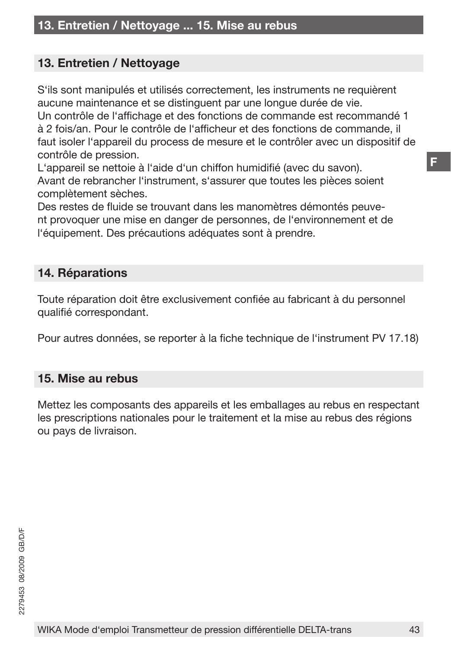# **13. Entretien / Nettoyage ... 15. Mise au rebus**

# **13. Entretien / Nettoyage**

S'ils sont manipulés et utilisés correctement, les instruments ne requièrent aucune maintenance et se distinguent par une longue durée de vie. Un contrôle de l'affichage et des fonctions de commande est recommandé 1 à 2 fois/an. Pour le contrôle de l'afficheur et des fonctions de commande, il faut isoler l'appareil du process de mesure et le contrôler avec un dispositif de contrôle de pression.

L'appareil se nettoie à l'aide d'un chiffon humidifié (avec du savon). Avant de rebrancher l'instrument, s'assurer que toutes les pièces soient complètement sèches.

Des restes de fluide se trouvant dans les manomètres démontés peuvent provoquer une mise en danger de personnes, de l'environnement et de l'équipement. Des précautions adéquates sont à prendre.

# **14. Réparations**

Toute réparation doit être exclusivement confiée au fabricant à du personnel qualifié correspondant.

Pour autres données, se reporter à la fiche technique de l'instrument PV 17.18)

#### **15. Mise au rebus**

Mettez les composants des appareils et les emballages au rebus en respectant les prescriptions nationales pour le traitement et la mise au rebus des régions ou pays de livraison.